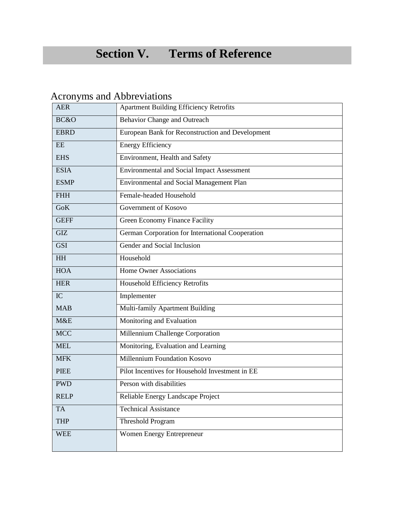# **Section V. Terms of Reference**

# Acronyms and Abbreviations

| <b>AER</b>  | <b>Apartment Building Efficiency Retrofits</b>    |
|-------------|---------------------------------------------------|
| BC&O        | <b>Behavior Change and Outreach</b>               |
| <b>EBRD</b> | European Bank for Reconstruction and Development  |
| <b>EE</b>   | <b>Energy Efficiency</b>                          |
| <b>EHS</b>  | Environment, Health and Safety                    |
| <b>ESIA</b> | <b>Environmental and Social Impact Assessment</b> |
| <b>ESMP</b> | <b>Environmental and Social Management Plan</b>   |
| <b>FHH</b>  | Female-headed Household                           |
| <b>GoK</b>  | Government of Kosovo                              |
| <b>GEFF</b> | Green Economy Finance Facility                    |
| <b>GIZ</b>  | German Corporation for International Cooperation  |
| <b>GSI</b>  | Gender and Social Inclusion                       |
| <b>HH</b>   | Household                                         |
| <b>HOA</b>  | <b>Home Owner Associations</b>                    |
| <b>HER</b>  | <b>Household Efficiency Retrofits</b>             |
| IC          | Implementer                                       |
| <b>MAB</b>  | Multi-family Apartment Building                   |
| M&E         | Monitoring and Evaluation                         |
| <b>MCC</b>  | Millennium Challenge Corporation                  |
| <b>MEL</b>  | Monitoring, Evaluation and Learning               |
| <b>MFK</b>  | Millennium Foundation Kosovo                      |
| <b>PIEE</b> | Pilot Incentives for Household Investment in EE   |
| <b>PWD</b>  | Person with disabilities                          |
| <b>RELP</b> | Reliable Energy Landscape Project                 |
| <b>TA</b>   | <b>Technical Assistance</b>                       |
| <b>THP</b>  | <b>Threshold Program</b>                          |
| <b>WEE</b>  | Women Energy Entrepreneur                         |
|             |                                                   |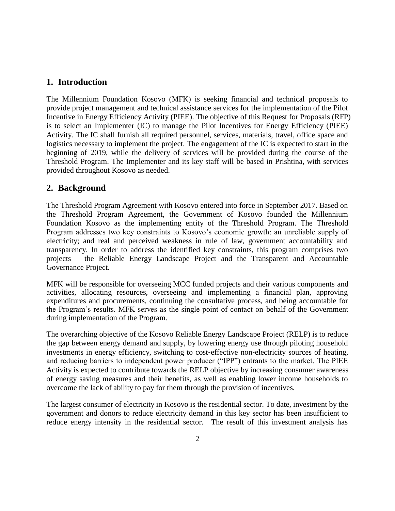# **1. Introduction**

The Millennium Foundation Kosovo (MFK) is seeking financial and technical proposals to provide project management and technical assistance services for the implementation of the Pilot Incentive in Energy Efficiency Activity (PIEE). The objective of this Request for Proposals (RFP) is to select an Implementer (IC) to manage the Pilot Incentives for Energy Efficiency (PIEE) Activity. The IC shall furnish all required personnel, services, materials, travel, office space and logistics necessary to implement the project. The engagement of the IC is expected to start in the beginning of 2019, while the delivery of services will be provided during the course of the Threshold Program. The Implementer and its key staff will be based in Prishtina, with services provided throughout Kosovo as needed.

# **2. Background**

The Threshold Program Agreement with Kosovo entered into force in September 2017. Based on the Threshold Program Agreement, the Government of Kosovo founded the Millennium Foundation Kosovo as the implementing entity of the Threshold Program. The Threshold Program addresses two key constraints to Kosovo's economic growth: an unreliable supply of electricity; and real and perceived weakness in rule of law, government accountability and transparency. In order to address the identified key constraints, this program comprises two projects – the Reliable Energy Landscape Project and the Transparent and Accountable Governance Project.

MFK will be responsible for overseeing MCC funded projects and their various components and activities, allocating resources, overseeing and implementing a financial plan, approving expenditures and procurements, continuing the consultative process, and being accountable for the Program's results. MFK serves as the single point of contact on behalf of the Government during implementation of the Program.

The overarching objective of the Kosovo Reliable Energy Landscape Project (RELP) is to reduce the gap between energy demand and supply, by lowering energy use through piloting household investments in energy efficiency, switching to cost-effective non-electricity sources of heating. and reducing barriers to independent power producer ("IPP") entrants to the market. The PIEE Activity is expected to contribute towards the RELP objective by increasing consumer awareness of energy saving measures and their benefits, as well as enabling lower income households to overcome the lack of ability to pay for them through the provision of incentives.

The largest consumer of electricity in Kosovo is the residential sector. To date, investment by the government and donors to reduce electricity demand in this key sector has been insufficient to reduce energy intensity in the residential sector. The result of this investment analysis has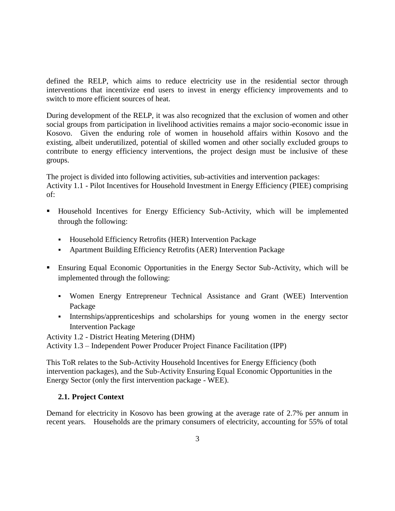defined the RELP, which aims to reduce electricity use in the residential sector through interventions that incentivize end users to invest in energy efficiency improvements and to switch to more efficient sources of heat.

During development of the RELP, it was also recognized that the exclusion of women and other social groups from participation in livelihood activities remains a major socio-economic issue in Kosovo. Given the enduring role of women in household affairs within Kosovo and the existing, albeit underutilized, potential of skilled women and other socially excluded groups to contribute to energy efficiency interventions, the project design must be inclusive of these groups.

The project is divided into following activities, sub-activities and intervention packages: Activity 1.1 - Pilot Incentives for Household Investment in Energy Efficiency (PIEE) comprising of:

- Household Incentives for Energy Efficiency Sub-Activity, which will be implemented through the following:
	- Household Efficiency Retrofits (HER) Intervention Package
	- Apartment Building Efficiency Retrofits (AER) Intervention Package
- Ensuring Equal Economic Opportunities in the Energy Sector Sub-Activity, which will be implemented through the following:
	- Women Energy Entrepreneur Technical Assistance and Grant (WEE) Intervention Package
	- Internships/apprenticeships and scholarships for young women in the energy sector Intervention Package

Activity 1.2 - District Heating Metering (DHM)

Activity 1.3 – Independent Power Producer Project Finance Facilitation (IPP)

This ToR relates to the Sub-Activity Household Incentives for Energy Efficiency (both intervention packages), and the Sub-Activity Ensuring Equal Economic Opportunities in the Energy Sector (only the first intervention package - WEE).

# **2.1. Project Context**

Demand for electricity in Kosovo has been growing at the average rate of 2.7% per annum in recent years. Households are the primary consumers of electricity, accounting for 55% of total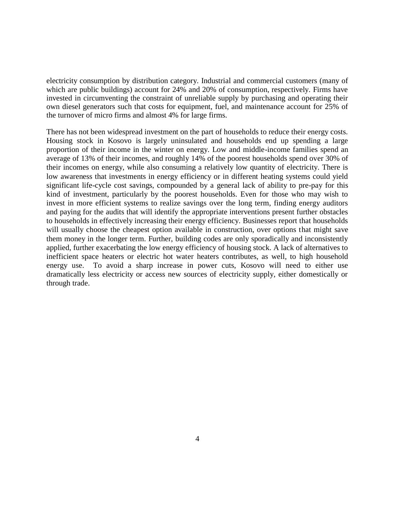electricity consumption by distribution category. Industrial and commercial customers (many of which are public buildings) account for 24% and 20% of consumption, respectively. Firms have invested in circumventing the constraint of unreliable supply by purchasing and operating their own diesel generators such that costs for equipment, fuel, and maintenance account for 25% of the turnover of micro firms and almost 4% for large firms.

There has not been widespread investment on the part of households to reduce their energy costs. Housing stock in Kosovo is largely uninsulated and households end up spending a large proportion of their income in the winter on energy. Low and middle-income families spend an average of 13% of their incomes, and roughly 14% of the poorest households spend over 30% of their incomes on energy, while also consuming a relatively low quantity of electricity. There is low awareness that investments in energy efficiency or in different heating systems could yield significant life-cycle cost savings, compounded by a general lack of ability to pre-pay for this kind of investment, particularly by the poorest households. Even for those who may wish to invest in more efficient systems to realize savings over the long term, finding energy auditors and paying for the audits that will identify the appropriate interventions present further obstacles to households in effectively increasing their energy efficiency. Businesses report that households will usually choose the cheapest option available in construction, over options that might save them money in the longer term. Further, building codes are only sporadically and inconsistently applied, further exacerbating the low energy efficiency of housing stock. A lack of alternatives to inefficient space heaters or electric hot water heaters contributes, as well, to high household energy use. To avoid a sharp increase in power cuts, Kosovo will need to either use dramatically less electricity or access new sources of electricity supply, either domestically or through trade.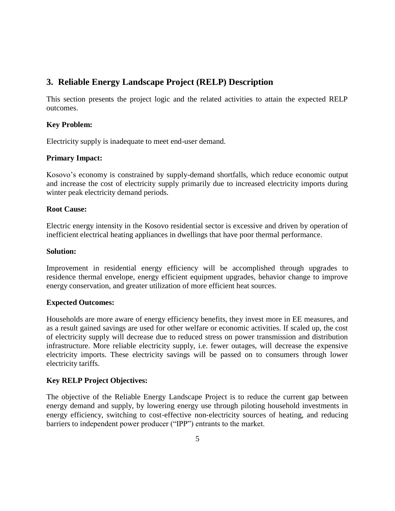# **3. Reliable Energy Landscape Project (RELP) Description**

This section presents the project logic and the related activities to attain the expected RELP outcomes.

### **Key Problem:**

Electricity supply is inadequate to meet end-user demand.

### **Primary Impact:**

Kosovo's economy is constrained by supply-demand shortfalls, which reduce economic output and increase the cost of electricity supply primarily due to increased electricity imports during winter peak electricity demand periods.

#### **Root Cause:**

Electric energy intensity in the Kosovo residential sector is excessive and driven by operation of inefficient electrical heating appliances in dwellings that have poor thermal performance.

#### **Solution:**

Improvement in residential energy efficiency will be accomplished through upgrades to residence thermal envelope, energy efficient equipment upgrades, behavior change to improve energy conservation, and greater utilization of more efficient heat sources.

#### **Expected Outcomes:**

Households are more aware of energy efficiency benefits, they invest more in EE measures, and as a result gained savings are used for other welfare or economic activities. If scaled up, the cost of electricity supply will decrease due to reduced stress on power transmission and distribution infrastructure. More reliable electricity supply, i.e. fewer outages, will decrease the expensive electricity imports. These electricity savings will be passed on to consumers through lower electricity tariffs.

#### **Key RELP Project Objectives:**

The objective of the Reliable Energy Landscape Project is to reduce the current gap between energy demand and supply, by lowering energy use through piloting household investments in energy efficiency, switching to cost-effective non-electricity sources of heating, and reducing barriers to independent power producer ("IPP") entrants to the market.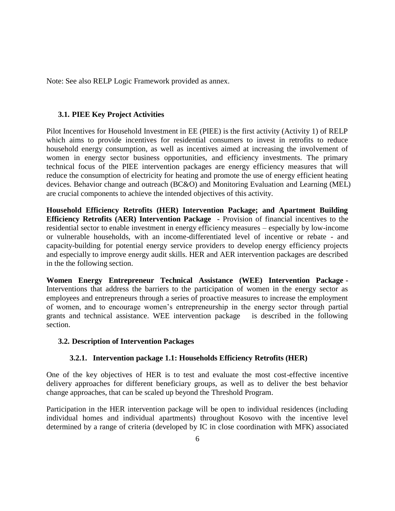Note: See also RELP Logic Framework provided as annex.

#### **3.1. PIEE Key Project Activities**

Pilot Incentives for Household Investment in EE (PIEE) is the first activity (Activity 1) of RELP which aims to provide incentives for residential consumers to invest in retrofits to reduce household energy consumption, as well as incentives aimed at increasing the involvement of women in energy sector business opportunities, and efficiency investments. The primary technical focus of the PIEE intervention packages are energy efficiency measures that will reduce the consumption of electricity for heating and promote the use of energy efficient heating devices. Behavior change and outreach (BC&O) and Monitoring Evaluation and Learning (MEL) are crucial components to achieve the intended objectives of this activity.

**Household Efficiency Retrofits (HER) Intervention Package; and Apartment Building Efficiency Retrofits (AER) Intervention Package -** Provision of financial incentives to the residential sector to enable investment in energy efficiency measures – especially by low-income or vulnerable households, with an income-differentiated level of incentive or rebate - and capacity-building for potential energy service providers to develop energy efficiency projects and especially to improve energy audit skills. HER and AER intervention packages are described in the the following section.

**Women Energy Entrepreneur Technical Assistance (WEE) Intervention Package -** Interventions that address the barriers to the participation of women in the energy sector as employees and entrepreneurs through a series of proactive measures to increase the employment of women, and to encourage women's entrepreneurship in the energy sector through partial grants and technical assistance. WEE intervention package is described in the following section.

#### **3.2. Description of Intervention Packages**

#### **3.2.1. Intervention package 1.1: Households Efficiency Retrofits (HER)**

One of the key objectives of HER is to test and evaluate the most cost-effective incentive delivery approaches for different beneficiary groups, as well as to deliver the best behavior change approaches, that can be scaled up beyond the Threshold Program.

Participation in the HER intervention package will be open to individual residences (including individual homes and individual apartments) throughout Kosovo with the incentive level determined by a range of criteria (developed by IC in close coordination with MFK) associated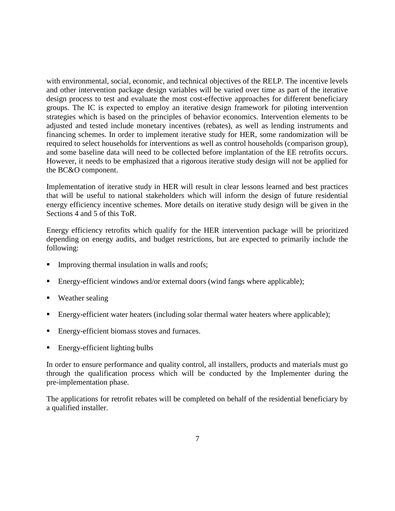with environmental, social, economic, and technical objectives of the RELP. The incentive levels and other intervention package design variables will be varied over time as part of the iterative design process to test and evaluate the most cost-effective approaches for different beneficiary groups. The IC is expected to employ an iterative design framework for piloting intervention strategies which is based on the principles of behavior economics. Intervention elements to be adjusted and tested include monetary incentives (rebates), as well as lending instruments and financing schemes. In order to implement iterative study for HER, some randomization will be required to select households for interventions as well as control households (comparison group), and some baseline data will need to be collected before implantation of the EE retrofits occurs. However, it needs to be emphasized that a rigorous iterative study design will not be applied for the BC&O component.

Implementation of iterative study in HER will result in clear lessons learned and best practices that will be useful to national stakeholders which will inform the design of future residential energy efficiency incentive schemes. More details on iterative study design will be given in the Sections 4 and 5 of this ToR.

Energy efficiency retrofits which qualify for the HER intervention package will be prioritized depending on energy audits, and budget restrictions, but are expected to primarily include the following:

- Improving thermal insulation in walls and roofs;
- Energy-efficient windows and/or external doors (wind fangs where applicable);
- Weather sealing
- Energy-efficient water heaters (including solar thermal water heaters where applicable);
- Energy-efficient biomass stoves and furnaces.
- Energy-efficient lighting bulbs

In order to ensure performance and quality control, all installers, products and materials must go through the qualification process which will be conducted by the Implementer during the pre-implementation phase.

The applications for retrofit rebates will be completed on behalf of the residential beneficiary by a qualified installer.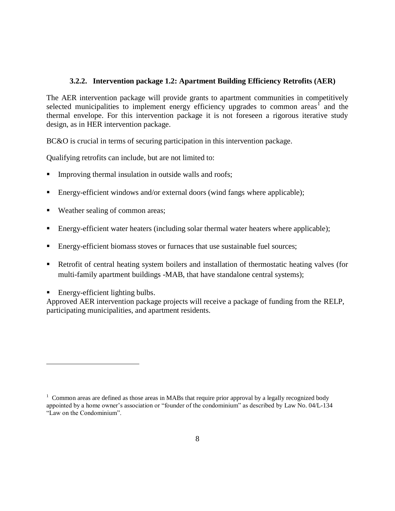#### **3.2.2. Intervention package 1.2: Apartment Building Efficiency Retrofits (AER)**

The AER intervention package will provide grants to apartment communities in competitively selected municipalities to implement energy efficiency upgrades to common areas<sup>1</sup> and the thermal envelope. For this intervention package it is not foreseen a rigorous iterative study design, as in HER intervention package.

BC&O is crucial in terms of securing participation in this intervention package.

Qualifying retrofits can include, but are not limited to:

- Improving thermal insulation in outside walls and roofs;
- Energy-efficient windows and/or external doors (wind fangs where applicable);
- Weather sealing of common areas;
- Energy-efficient water heaters (including solar thermal water heaters where applicable);
- **Energy-efficient biomass stoves or furnaces that use sustainable fuel sources;**
- Retrofit of central heating system boilers and installation of thermostatic heating valves (for multi-family apartment buildings -MAB, that have standalone central systems);

Energy-efficient lighting bulbs.

 $\overline{a}$ 

Approved AER intervention package projects will receive a package of funding from the RELP, participating municipalities, and apartment residents.

 $1 \text{ Common areas are defined as those areas in MABs that require prior approval by a legally recognized body.}$ appointed by a home owner's association or "founder of the condominium" as described by Law No. 04/L-134 "Law on the Condominium".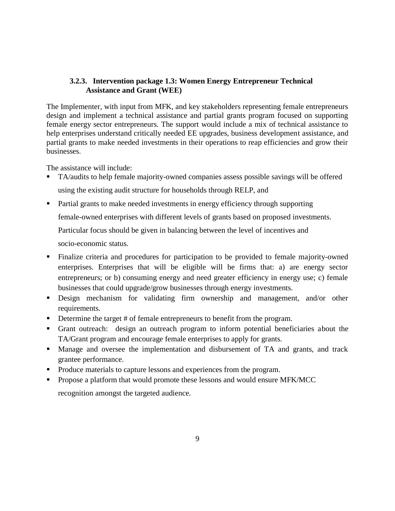### **3.2.3. Intervention package 1.3: Women Energy Entrepreneur Technical Assistance and Grant (WEE)**

The Implementer, with input from MFK, and key stakeholders representing female entrepreneurs design and implement a technical assistance and partial grants program focused on supporting female energy sector entrepreneurs. The support would include a mix of technical assistance to help enterprises understand critically needed EE upgrades, business development assistance, and partial grants to make needed investments in their operations to reap efficiencies and grow their businesses.

The assistance will include:

- TA/audits to help female majority-owned companies assess possible savings will be offered using the existing audit structure for households through RELP, and
- Partial grants to make needed investments in energy efficiency through supporting

female-owned enterprises with different levels of grants based on proposed investments.

Particular focus should be given in balancing between the level of incentives and

socio-economic status.

- Finalize criteria and procedures for participation to be provided to female majority-owned enterprises. Enterprises that will be eligible will be firms that: a) are energy sector entrepreneurs; or b) consuming energy and need greater efficiency in energy use; c) female businesses that could upgrade/grow businesses through energy investments.
- **Design mechanism for validating firm ownership and management, and/or other** requirements.
- Determine the target # of female entrepreneurs to benefit from the program.
- Grant outreach: design an outreach program to inform potential beneficiaries about the TA/Grant program and encourage female enterprises to apply for grants.
- Manage and oversee the implementation and disbursement of TA and grants, and track grantee performance.
- Produce materials to capture lessons and experiences from the program.
- Propose a platform that would promote these lessons and would ensure MFK/MCC

recognition amongst the targeted audience.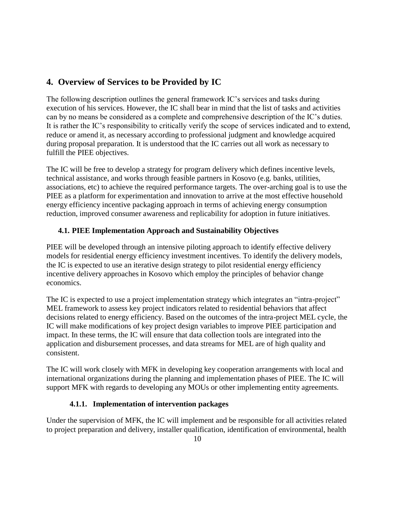# **4. Overview of Services to be Provided by IC**

The following description outlines the general framework IC's services and tasks during execution of his services. However, the IC shall bear in mind that the list of tasks and activities can by no means be considered as a complete and comprehensive description of the IC's duties. It is rather the IC's responsibility to critically verify the scope of services indicated and to extend, reduce or amend it, as necessary according to professional judgment and knowledge acquired during proposal preparation. It is understood that the IC carries out all work as necessary to fulfill the PIEE objectives.

The IC will be free to develop a strategy for program delivery which defines incentive levels, technical assistance, and works through feasible partners in Kosovo (e.g. banks, utilities, associations, etc) to achieve the required performance targets. The over-arching goal is to use the PIEE as a platform for experimentation and innovation to arrive at the most effective household energy efficiency incentive packaging approach in terms of achieving energy consumption reduction, improved consumer awareness and replicability for adoption in future initiatives.

# **4.1. PIEE Implementation Approach and Sustainability Objectives**

PIEE will be developed through an intensive piloting approach to identify effective delivery models for residential energy efficiency investment incentives. To identify the delivery models, the IC is expected to use an iterative design strategy to pilot residential energy efficiency incentive delivery approaches in Kosovo which employ the principles of behavior change economics.

The IC is expected to use a project implementation strategy which integrates an "intra-project" MEL framework to assess key project indicators related to residential behaviors that affect decisions related to energy efficiency. Based on the outcomes of the intra-project MEL cycle, the IC will make modifications of key project design variables to improve PIEE participation and impact. In these terms, the IC will ensure that data collection tools are integrated into the application and disbursement processes, and data streams for MEL are of high quality and consistent.

The IC will work closely with MFK in developing key cooperation arrangements with local and international organizations during the planning and implementation phases of PIEE. The IC will support MFK with regards to developing any MOUs or other implementing entity agreements.

# **4.1.1. Implementation of intervention packages**

Under the supervision of MFK, the IC will implement and be responsible for all activities related to project preparation and delivery, installer qualification, identification of environmental, health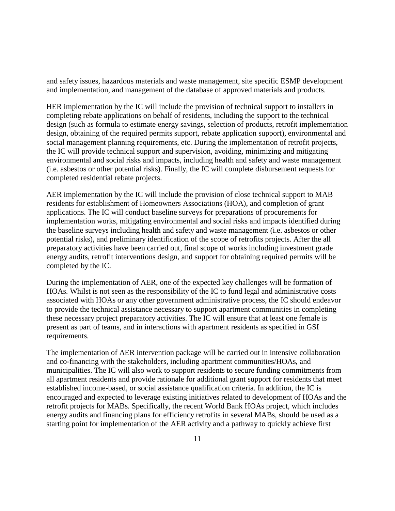and safety issues, hazardous materials and waste management, site specific ESMP development and implementation, and management of the database of approved materials and products.

HER implementation by the IC will include the provision of technical support to installers in completing rebate applications on behalf of residents, including the support to the technical design (such as formula to estimate energy savings, selection of products, retrofit implementation design, obtaining of the required permits support, rebate application support), environmental and social management planning requirements, etc. During the implementation of retrofit projects, the IC will provide technical support and supervision, avoiding, minimizing and mitigating environmental and social risks and impacts, including health and safety and waste management (i.e. asbestos or other potential risks). Finally, the IC will complete disbursement requests for completed residential rebate projects.

AER implementation by the IC will include the provision of close technical support to MAB residents for establishment of Homeowners Associations (HOA), and completion of grant applications. The IC will conduct baseline surveys for preparations of procurements for implementation works, mitigating environmental and social risks and impacts identified during the baseline surveys including health and safety and waste management (i.e. asbestos or other potential risks), and preliminary identification of the scope of retrofits projects. After the all preparatory activities have been carried out, final scope of works including investment grade energy audits, retrofit interventions design, and support for obtaining required permits will be completed by the IC.

During the implementation of AER, one of the expected key challenges will be formation of HOAs. Whilst is not seen as the responsibility of the IC to fund legal and administrative costs associated with HOAs or any other government administrative process, the IC should endeavor to provide the technical assistance necessary to support apartment communities in completing these necessary project preparatory activities. The IC will ensure that at least one female is present as part of teams, and in interactions with apartment residents as specified in GSI requirements.

The implementation of AER intervention package will be carried out in intensive collaboration and co-financing with the stakeholders, including apartment communities/HOAs, and municipalities. The IC will also work to support residents to secure funding commitments from all apartment residents and provide rationale for additional grant support for residents that meet established income-based, or social assistance qualification criteria. In addition, the IC is encouraged and expected to leverage existing initiatives related to development of HOAs and the retrofit projects for MABs. Specifically, the recent World Bank HOAs project, which includes energy audits and financing plans for efficiency retrofits in several MABs, should be used as a starting point for implementation of the AER activity and a pathway to quickly achieve first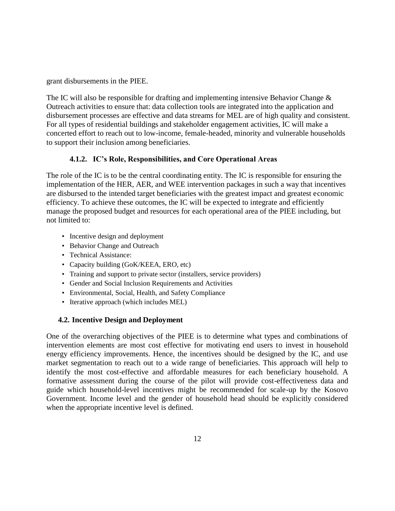grant disbursements in the PIEE.

The IC will also be responsible for drafting and implementing intensive Behavior Change & Outreach activities to ensure that: data collection tools are integrated into the application and disbursement processes are effective and data streams for MEL are of high quality and consistent. For all types of residential buildings and stakeholder engagement activities, IC will make a concerted effort to reach out to low-income, female-headed, minority and vulnerable households to support their inclusion among beneficiaries.

# **4.1.2. IC's Role, Responsibilities, and Core Operational Areas**

The role of the IC is to be the central coordinating entity. The IC is responsible for ensuring the implementation of the HER, AER, and WEE intervention packages in such a way that incentives are disbursed to the intended target beneficiaries with the greatest impact and greatest economic efficiency. To achieve these outcomes, the IC will be expected to integrate and efficiently manage the proposed budget and resources for each operational area of the PIEE including, but not limited to:

- Incentive design and deployment
- Behavior Change and Outreach
- Technical Assistance:
- Capacity building (GoK/KEEA, ERO, etc)
- Training and support to private sector (installers, service providers)
- Gender and Social Inclusion Requirements and Activities
- Environmental, Social, Health, and Safety Compliance
- Iterative approach (which includes MEL)

# **4.2. Incentive Design and Deployment**

One of the overarching objectives of the PIEE is to determine what types and combinations of intervention elements are most cost effective for motivating end users to invest in household energy efficiency improvements. Hence, the incentives should be designed by the IC, and use market segmentation to reach out to a wide range of beneficiaries. This approach will help to identify the most cost-effective and affordable measures for each beneficiary household. A formative assessment during the course of the pilot will provide cost-effectiveness data and guide which household-level incentives might be recommended for scale-up by the Kosovo Government. Income level and the gender of household head should be explicitly considered when the appropriate incentive level is defined.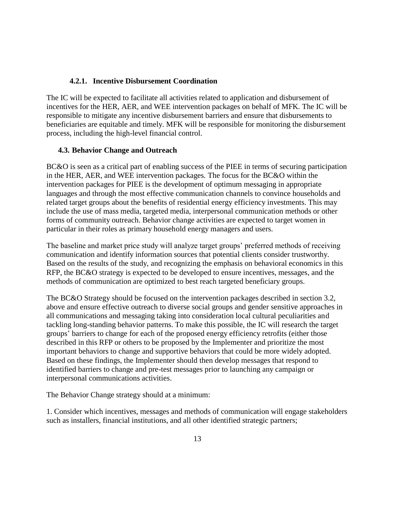### **4.2.1. Incentive Disbursement Coordination**

The IC will be expected to facilitate all activities related to application and disbursement of incentives for the HER, AER, and WEE intervention packages on behalf of MFK. The IC will be responsible to mitigate any incentive disbursement barriers and ensure that disbursements to beneficiaries are equitable and timely. MFK will be responsible for monitoring the disbursement process, including the high-level financial control.

### **4.3. Behavior Change and Outreach**

BC&O is seen as a critical part of enabling success of the PIEE in terms of securing participation in the HER, AER, and WEE intervention packages. The focus for the BC&O within the intervention packages for PIEE is the development of optimum messaging in appropriate languages and through the most effective communication channels to convince households and related target groups about the benefits of residential energy efficiency investments. This may include the use of mass media, targeted media, interpersonal communication methods or other forms of community outreach. Behavior change activities are expected to target women in particular in their roles as primary household energy managers and users.

The baseline and market price study will analyze target groups' preferred methods of receiving communication and identify information sources that potential clients consider trustworthy. Based on the results of the study, and recognizing the emphasis on behavioral economics in this RFP, the BC&O strategy is expected to be developed to ensure incentives, messages, and the methods of communication are optimized to best reach targeted beneficiary groups.

The BC&O Strategy should be focused on the intervention packages described in section 3.2, above and ensure effective outreach to diverse social groups and gender sensitive approaches in all communications and messaging taking into consideration local cultural peculiarities and tackling long-standing behavior patterns. To make this possible, the IC will research the target groups' barriers to change for each of the proposed energy efficiency retrofits (either those described in this RFP or others to be proposed by the Implementer and prioritize the most important behaviors to change and supportive behaviors that could be more widely adopted. Based on these findings, the Implementer should then develop messages that respond to identified barriers to change and pre-test messages prior to launching any campaign or interpersonal communications activities.

The Behavior Change strategy should at a minimum:

1. Consider which incentives, messages and methods of communication will engage stakeholders such as installers, financial institutions, and all other identified strategic partners;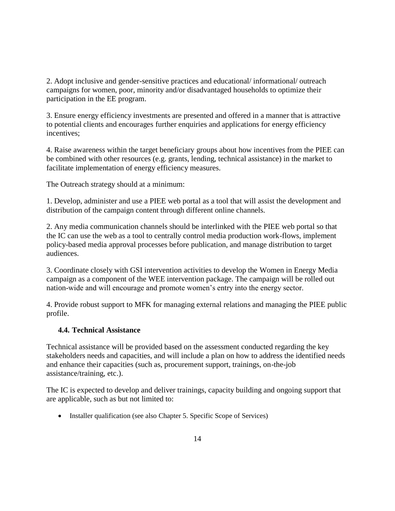2. Adopt inclusive and gender-sensitive practices and educational/ informational/ outreach campaigns for women, poor, minority and/or disadvantaged households to optimize their participation in the EE program.

3. Ensure energy efficiency investments are presented and offered in a manner that is attractive to potential clients and encourages further enquiries and applications for energy efficiency incentives;

4. Raise awareness within the target beneficiary groups about how incentives from the PIEE can be combined with other resources (e.g. grants, lending, technical assistance) in the market to facilitate implementation of energy efficiency measures.

The Outreach strategy should at a minimum:

1. Develop, administer and use a PIEE web portal as a tool that will assist the development and distribution of the campaign content through different online channels.

2. Any media communication channels should be interlinked with the PIEE web portal so that the IC can use the web as a tool to centrally control media production work-flows, implement policy-based media approval processes before publication, and manage distribution to target audiences.

3. Coordinate closely with GSI intervention activities to develop the Women in Energy Media campaign as a component of the WEE intervention package. The campaign will be rolled out nation-wide and will encourage and promote women's entry into the energy sector.

4. Provide robust support to MFK for managing external relations and managing the PIEE public profile.

# **4.4. Technical Assistance**

Technical assistance will be provided based on the assessment conducted regarding the key stakeholders needs and capacities, and will include a plan on how to address the identified needs and enhance their capacities (such as, procurement support, trainings, on-the-job assistance/training, etc.).

The IC is expected to develop and deliver trainings, capacity building and ongoing support that are applicable, such as but not limited to:

• Installer qualification (see also Chapter 5. Specific Scope of Services)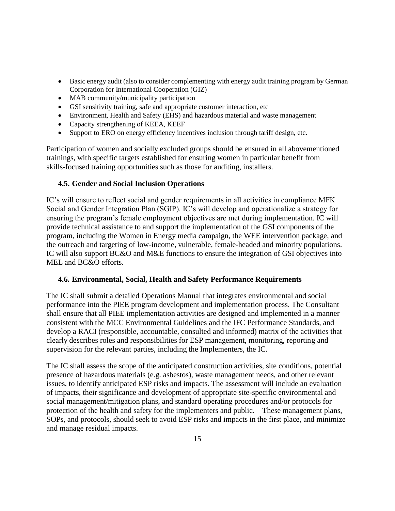- Basic energy audit (also to consider complementing with energy audit training program by German Corporation for International Cooperation (GIZ)
- MAB community/municipality participation
- GSI sensitivity training, safe and appropriate customer interaction, etc
- Environment, Health and Safety (EHS) and hazardous material and waste management
- Capacity strengthening of KEEA, KEEF
- Support to ERO on energy efficiency incentives inclusion through tariff design, etc.

Participation of women and socially excluded groups should be ensured in all abovementioned trainings, with specific targets established for ensuring women in particular benefit from skills-focused training opportunities such as those for auditing, installers.

#### **4.5. Gender and Social Inclusion Operations**

IC's will ensure to reflect social and gender requirements in all activities in compliance MFK Social and Gender Integration Plan (SGIP). IC's will develop and operationalize a strategy for ensuring the program's female employment objectives are met during implementation. IC will provide technical assistance to and support the implementation of the GSI components of the program, including the Women in Energy media campaign, the WEE intervention package, and the outreach and targeting of low-income, vulnerable, female-headed and minority populations. IC will also support BC&O and M&E functions to ensure the integration of GSI objectives into MEL and BC&O efforts.

#### **4.6. Environmental, Social, Health and Safety Performance Requirements**

The IC shall submit a detailed Operations Manual that integrates environmental and social performance into the PIEE program development and implementation process. The Consultant shall ensure that all PIEE implementation activities are designed and implemented in a manner consistent with the MCC Environmental Guidelines and the IFC Performance Standards, and develop a RACI (responsible, accountable, consulted and informed) matrix of the activities that clearly describes roles and responsibilities for ESP management, monitoring, reporting and supervision for the relevant parties, including the Implementers, the IC.

The IC shall assess the scope of the anticipated construction activities, site conditions, potential presence of hazardous materials (e.g. asbestos), waste management needs, and other relevant issues, to identify anticipated ESP risks and impacts. The assessment will include an evaluation of impacts, their significance and development of appropriate site-specific environmental and social management/mitigation plans, and standard operating procedures and/or protocols for protection of the health and safety for the implementers and public. These management plans, SOPs, and protocols, should seek to avoid ESP risks and impacts in the first place, and minimize and manage residual impacts.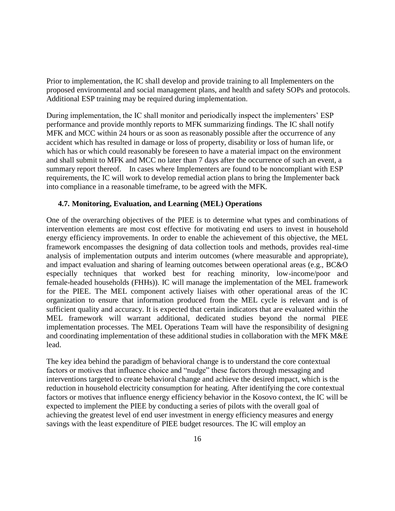Prior to implementation, the IC shall develop and provide training to all Implementers on the proposed environmental and social management plans, and health and safety SOPs and protocols. Additional ESP training may be required during implementation.

During implementation, the IC shall monitor and periodically inspect the implementers' ESP performance and provide monthly reports to MFK summarizing findings. The IC shall notify MFK and MCC within 24 hours or as soon as reasonably possible after the occurrence of any accident which has resulted in damage or loss of property, disability or loss of human life, or which has or which could reasonably be foreseen to have a material impact on the environment and shall submit to MFK and MCC no later than 7 days after the occurrence of such an event, a summary report thereof. In cases where Implementers are found to be noncompliant with ESP requirements, the IC will work to develop remedial action plans to bring the Implementer back into compliance in a reasonable timeframe, to be agreed with the MFK.

#### **4.7. Monitoring, Evaluation, and Learning (MEL) Operations**

One of the overarching objectives of the PIEE is to determine what types and combinations of intervention elements are most cost effective for motivating end users to invest in household energy efficiency improvements. In order to enable the achievement of this objective, the MEL framework encompasses the designing of data collection tools and methods, provides real-time analysis of implementation outputs and interim outcomes (where measurable and appropriate), and impact evaluation and sharing of learning outcomes between operational areas (e.g., BC&O especially techniques that worked best for reaching minority, low-income/poor and female-headed households (FHHs)). IC will manage the implementation of the MEL framework for the PIEE. The MEL component actively liaises with other operational areas of the IC organization to ensure that information produced from the MEL cycle is relevant and is of sufficient quality and accuracy. It is expected that certain indicators that are evaluated within the MEL framework will warrant additional, dedicated studies beyond the normal PIEE implementation processes. The MEL Operations Team will have the responsibility of designing and coordinating implementation of these additional studies in collaboration with the MFK M&E lead.

The key idea behind the paradigm of behavioral change is to understand the core contextual factors or motives that influence choice and "nudge" these factors through messaging and interventions targeted to create behavioral change and achieve the desired impact, which is the reduction in household electricity consumption for heating. After identifying the core contextual factors or motives that influence energy efficiency behavior in the Kosovo context, the IC will be expected to implement the PIEE by conducting a series of pilots with the overall goal of achieving the greatest level of end user investment in energy efficiency measures and energy savings with the least expenditure of PIEE budget resources. The IC will employ an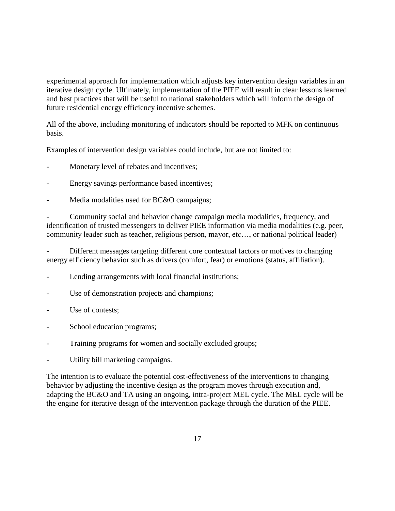experimental approach for implementation which adjusts key intervention design variables in an iterative design cycle. Ultimately, implementation of the PIEE will result in clear lessons learned and best practices that will be useful to national stakeholders which will inform the design of future residential energy efficiency incentive schemes.

All of the above, including monitoring of indicators should be reported to MFK on continuous basis.

Examples of intervention design variables could include, but are not limited to:

- Monetary level of rebates and incentives;
- Energy savings performance based incentives;
- Media modalities used for BC&O campaigns;

- Community social and behavior change campaign media modalities, frequency, and identification of trusted messengers to deliver PIEE information via media modalities (e.g. peer, community leader such as teacher, religious person, mayor, etc…, or national political leader)

Different messages targeting different core contextual factors or motives to changing energy efficiency behavior such as drivers (comfort, fear) or emotions (status, affiliation).

- Lending arrangements with local financial institutions;
- Use of demonstration projects and champions;
- Use of contests;
- School education programs;
- Training programs for women and socially excluded groups;
- Utility bill marketing campaigns.

The intention is to evaluate the potential cost-effectiveness of the interventions to changing behavior by adjusting the incentive design as the program moves through execution and, adapting the BC&O and TA using an ongoing, intra-project MEL cycle. The MEL cycle will be the engine for iterative design of the intervention package through the duration of the PIEE.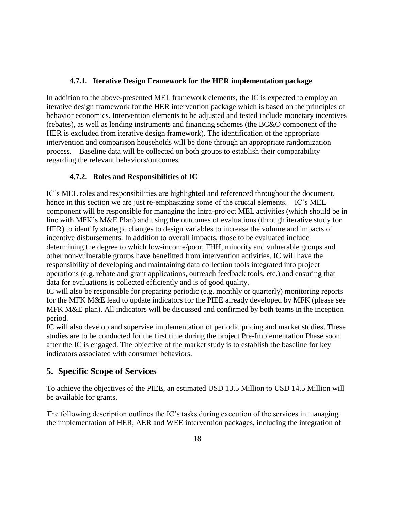### **4.7.1. Iterative Design Framework for the HER implementation package**

In addition to the above-presented MEL framework elements, the IC is expected to employ an iterative design framework for the HER intervention package which is based on the principles of behavior economics. Intervention elements to be adjusted and tested include monetary incentives (rebates), as well as lending instruments and financing schemes (the BC&O component of the HER is excluded from iterative design framework). The identification of the appropriate intervention and comparison households will be done through an appropriate randomization process. Baseline data will be collected on both groups to establish their comparability regarding the relevant behaviors/outcomes.

# **4.7.2. Roles and Responsibilities of IC**

IC's MEL roles and responsibilities are highlighted and referenced throughout the document, hence in this section we are just re-emphasizing some of the crucial elements. IC's MEL component will be responsible for managing the intra-project MEL activities (which should be in line with MFK's M&E Plan) and using the outcomes of evaluations (through iterative study for HER) to identify strategic changes to design variables to increase the volume and impacts of incentive disbursements. In addition to overall impacts, those to be evaluated include determining the degree to which low-income/poor, FHH, minority and vulnerable groups and other non-vulnerable groups have benefitted from intervention activities. IC will have the responsibility of developing and maintaining data collection tools integrated into project operations (e.g. rebate and grant applications, outreach feedback tools, etc.) and ensuring that data for evaluations is collected efficiently and is of good quality.

IC will also be responsible for preparing periodic (e.g. monthly or quarterly) monitoring reports for the MFK M&E lead to update indicators for the PIEE already developed by MFK (please see MFK M&E plan). All indicators will be discussed and confirmed by both teams in the inception period.

IC will also develop and supervise implementation of periodic pricing and market studies. These studies are to be conducted for the first time during the project Pre-Implementation Phase soon after the IC is engaged. The objective of the market study is to establish the baseline for key indicators associated with consumer behaviors.

# **5. Specific Scope of Services**

To achieve the objectives of the PIEE, an estimated USD 13.5 Million to USD 14.5 Million will be available for grants.

The following description outlines the IC's tasks during execution of the services in managing the implementation of HER, AER and WEE intervention packages, including the integration of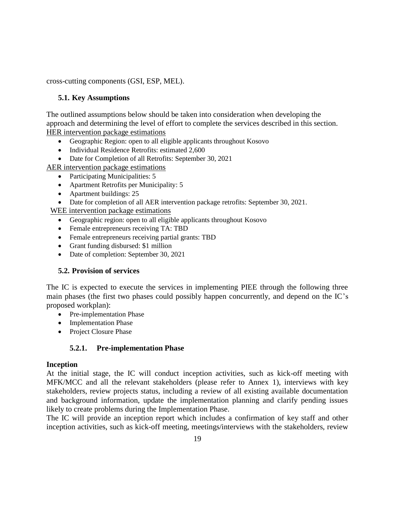cross-cutting components (GSI, ESP, MEL).

### **5.1. Key Assumptions**

The outlined assumptions below should be taken into consideration when developing the approach and determining the level of effort to complete the services described in this section. HER intervention package estimations

- Geographic Region: open to all eligible applicants throughout Kosovo
- Individual Residence Retrofits: estimated 2,600
- Date for Completion of all Retrofits: September 30, 2021
- AER intervention package estimations
	- Participating Municipalities: 5
	- Apartment Retrofits per Municipality: 5
	- Apartment buildings: 25
	- Date for completion of all AER intervention package retrofits: September 30, 2021.

WEE intervention package estimations

- Geographic region: open to all eligible applicants throughout Kosovo
- Female entrepreneurs receiving TA: TBD
- Female entrepreneurs receiving partial grants: TBD
- Grant funding disbursed: \$1 million
- Date of completion: September 30, 2021

#### **5.2. Provision of services**

The IC is expected to execute the services in implementing PIEE through the following three main phases (the first two phases could possibly happen concurrently, and depend on the IC's proposed workplan):

- Pre-implementation Phase
- Implementation Phase
- Project Closure Phase

# **5.2.1. Pre-implementation Phase**

#### **Inception**

At the initial stage, the IC will conduct inception activities, such as kick-off meeting with MFK/MCC and all the relevant stakeholders (please refer to Annex 1), interviews with key stakeholders, review projects status, including a review of all existing available documentation and background information, update the implementation planning and clarify pending issues likely to create problems during the Implementation Phase.

The IC will provide an inception report which includes a confirmation of key staff and other inception activities, such as kick-off meeting, meetings/interviews with the stakeholders, review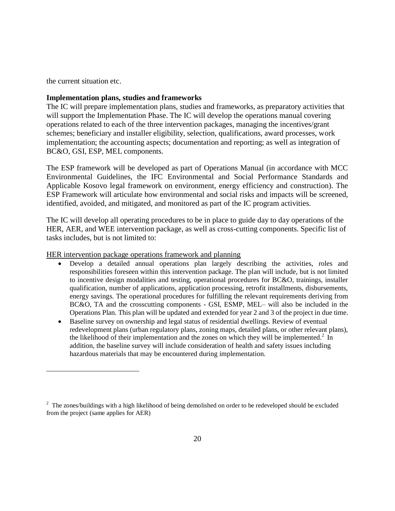the current situation etc.

 $\overline{a}$ 

#### **Implementation plans, studies and frameworks**

The IC will prepare implementation plans, studies and frameworks, as preparatory activities that will support the Implementation Phase. The IC will develop the operations manual covering operations related to each of the three intervention packages, managing the incentives/grant schemes; beneficiary and installer eligibility, selection, qualifications, award processes, work implementation; the accounting aspects; documentation and reporting; as well as integration of BC&O, GSI, ESP, MEL components.

The ESP framework will be developed as part of Operations Manual (in accordance with MCC Environmental Guidelines, the IFC Environmental and Social Performance Standards and Applicable Kosovo legal framework on environment, energy efficiency and construction). The ESP Framework will articulate how environmental and social risks and impacts will be screened, identified, avoided, and mitigated, and monitored as part of the IC program activities.

The IC will develop all operating procedures to be in place to guide day to day operations of the HER, AER, and WEE intervention package, as well as cross-cutting components. Specific list of tasks includes, but is not limited to:

HER intervention package operations framework and planning

- Develop a detailed annual operations plan largely describing the activities, roles and responsibilities foreseen within this intervention package. The plan will include, but is not limited to incentive design modalities and testing, operational procedures for BC&O, trainings, installer qualification, number of applications, application processing, retrofit installments, disbursements, energy savings. The operational procedures for fulfilling the relevant requirements deriving from BC&O, TA and the crosscutting components - GSI, ESMP, MEL– will also be included in the Operations Plan. This plan will be updated and extended for year 2 and 3 of the project in due time.
- Baseline survey on ownership and legal status of residential dwellings. Review of eventual redevelopment plans (urban regulatory plans, zoning maps, detailed plans, or other relevant plans), the likelihood of their implementation and the zones on which they will be implemented.<sup>2</sup> In addition, the baseline survey will include consideration of health and safety issues including hazardous materials that may be encountered during implementation.

 $2$  The zones/buildings with a high likelihood of being demolished on order to be redeveloped should be excluded from the project (same applies for AER)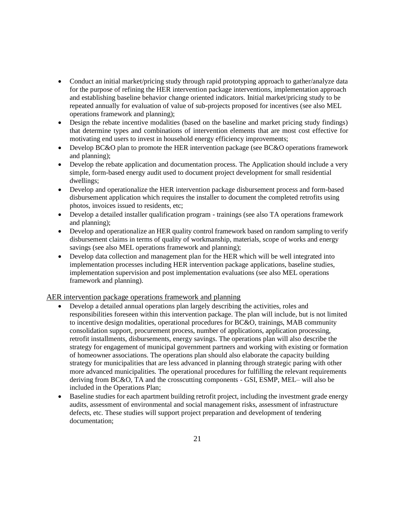- Conduct an initial market/pricing study through rapid prototyping approach to gather/analyze data for the purpose of refining the HER intervention package interventions, implementation approach and establishing baseline behavior change oriented indicators. Initial market/pricing study to be repeated annually for evaluation of value of sub-projects proposed for incentives (see also MEL operations framework and planning);
- Design the rebate incentive modalities (based on the baseline and market pricing study findings) that determine types and combinations of intervention elements that are most cost effective for motivating end users to invest in household energy efficiency improvements;
- Develop BC&O plan to promote the HER intervention package (see BC&O operations framework and planning);
- Develop the rebate application and documentation process. The Application should include a very simple, form-based energy audit used to document project development for small residential dwellings;
- Develop and operationalize the HER intervention package disbursement process and form-based disbursement application which requires the installer to document the completed retrofits using photos, invoices issued to residents, etc;
- Develop a detailed installer qualification program trainings (see also TA operations framework and planning);
- Develop and operationalize an HER quality control framework based on random sampling to verify disbursement claims in terms of quality of workmanship, materials, scope of works and energy savings (see also MEL operations framework and planning);
- Develop data collection and management plan for the HER which will be well integrated into implementation processes including HER intervention package applications, baseline studies, implementation supervision and post implementation evaluations (see also MEL operations framework and planning).

AER intervention package operations framework and planning

- Develop a detailed annual operations plan largely describing the activities, roles and responsibilities foreseen within this intervention package. The plan will include, but is not limited to incentive design modalities, operational procedures for BC&O, trainings, MAB community consolidation support, procurement process, number of applications, application processing, retrofit installments, disbursements, energy savings. The operations plan will also describe the strategy for engagement of municipal government partners and working with existing or formation of homeowner associations. The operations plan should also elaborate the capacity building strategy for municipalities that are less advanced in planning through strategic paring with other more advanced municipalities. The operational procedures for fulfilling the relevant requirements deriving from BC&O, TA and the crosscutting components - GSI, ESMP, MEL– will also be included in the Operations Plan;
- Baseline studies for each apartment building retrofit project, including the investment grade energy audits, assessment of environmental and social management risks, assessment of infrastructure defects, etc. These studies will support project preparation and development of tendering documentation;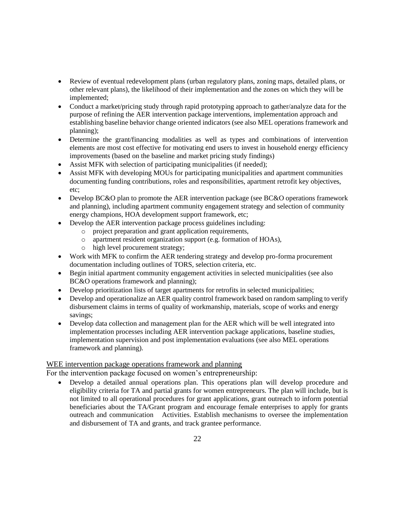- Review of eventual redevelopment plans (urban regulatory plans, zoning maps, detailed plans, or other relevant plans), the likelihood of their implementation and the zones on which they will be implemented;
- Conduct a market/pricing study through rapid prototyping approach to gather/analyze data for the purpose of refining the AER intervention package interventions, implementation approach and establishing baseline behavior change oriented indicators (see also MEL operations framework and planning);
- Determine the grant/financing modalities as well as types and combinations of intervention elements are most cost effective for motivating end users to invest in household energy efficiency improvements (based on the baseline and market pricing study findings)
- Assist MFK with selection of participating municipalities (if needed);
- Assist MFK with developing MOUs for participating municipalities and apartment communities documenting funding contributions, roles and responsibilities, apartment retrofit key objectives, etc;
- Develop BC&O plan to promote the AER intervention package (see BC&O operations framework and planning), including apartment community engagement strategy and selection of community energy champions, HOA development support framework, etc;
- Develop the AER intervention package process guidelines including:
	- o project preparation and grant application requirements,
	- o apartment resident organization support (e.g. formation of HOAs),
	- o high level procurement strategy;
- Work with MFK to confirm the AER tendering strategy and develop pro-forma procurement documentation including outlines of TORS, selection criteria, etc.
- Begin initial apartment community engagement activities in selected municipalities (see also BC&O operations framework and planning);
- Develop prioritization lists of target apartments for retrofits in selected municipalities;
- Develop and operationalize an AER quality control framework based on random sampling to verify disbursement claims in terms of quality of workmanship, materials, scope of works and energy savings;
- Develop data collection and management plan for the AER which will be well integrated into implementation processes including AER intervention package applications, baseline studies, implementation supervision and post implementation evaluations (see also MEL operations framework and planning).

#### WEE intervention package operations framework and planning

For the intervention package focused on women's entrepreneurship:

 Develop a detailed annual operations plan. This operations plan will develop procedure and eligibility criteria for TA and partial grants for women entrepreneurs. The plan will include, but is not limited to all operational procedures for grant applications, grant outreach to inform potential beneficiaries about the TA/Grant program and encourage female enterprises to apply for grants outreach and communication Activities. Establish mechanisms to oversee the implementation and disbursement of TA and grants, and track grantee performance.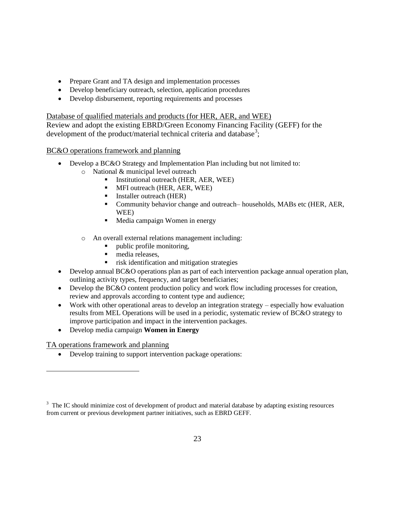- Prepare Grant and TA design and implementation processes
- Develop beneficiary outreach, selection, application procedures
- Develop disbursement, reporting requirements and processes

Database of qualified materials and products (for HER, AER, and WEE)

Review and adopt the existing EBRD/Green Economy Financing Facility (GEFF) for the development of the product/material technical criteria and database<sup>3</sup>;

BC&O operations framework and planning

- Develop a BC&O Strategy and Implementation Plan including but not limited to:
	- o National & municipal level outreach
		- Institutional outreach (HER, AER, WEE)
		- **MFI outreach (HER, AER, WEE)**
		- **Installer outreach (HER)**
		- Community behavior change and outreach– households, MABs etc (HER, AER, WEE)
		- Media campaign Women in energy
	- o An overall external relations management including:
		- public profile monitoring,
		- $\blacksquare$  media releases,
		- risk identification and mitigation strategies
- Develop annual BC&O operations plan as part of each intervention package annual operation plan, outlining activity types, frequency, and target beneficiaries;
- Develop the BC&O content production policy and work flow including processes for creation, review and approvals according to content type and audience;
- Work with other operational areas to develop an integration strategy especially how evaluation results from MEL Operations will be used in a periodic, systematic review of BC&O strategy to improve participation and impact in the intervention packages.
- Develop media campaign **Women in Energy**

TA operations framework and planning

 $\overline{a}$ 

Develop training to support intervention package operations:

 $3$  The IC should minimize cost of development of product and material database by adapting existing resources from current or previous development partner initiatives, such as EBRD GEFF.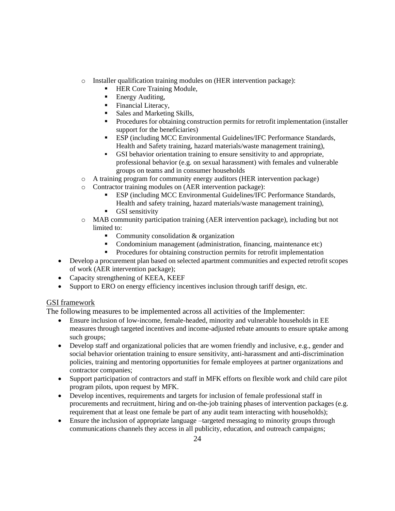- o Installer qualification training modules on (HER intervention package):
	- **HER Core Training Module,**
	- **Energy Auditing,**
	- Financial Literacy,
	- Sales and Marketing Skills,
	- Procedures for obtaining construction permits for retrofit implementation (installer support for the beneficiaries)
	- **ESP** (including MCC Environmental Guidelines/IFC Performance Standards, Health and Safety training, hazard materials/waste management training),
	- GSI behavior orientation training to ensure sensitivity to and appropriate, professional behavior (e.g. on sexual harassment) with females and vulnerable groups on teams and in consumer households
- o A training program for community energy auditors (HER intervention package)
- o Contractor training modules on (AER intervention package):
	- ESP (including MCC Environmental Guidelines/IFC Performance Standards, Health and safety training, hazard materials/waste management training),
	- **GSI** sensitivity
- o MAB community participation training (AER intervention package), including but not limited to:
	- Community consolidation & organization
	- Condominium management (administration, financing, maintenance etc)
	- Procedures for obtaining construction permits for retrofit implementation
- Develop a procurement plan based on selected apartment communities and expected retrofit scopes of work (AER intervention package);
- Capacity strengthening of KEEA, KEEF
- Support to ERO on energy efficiency incentives inclusion through tariff design, etc.

#### GSI framework

The following measures to be implemented across all activities of the Implementer:

- Ensure inclusion of low-income, female-headed, minority and vulnerable households in EE measures through targeted incentives and income-adjusted rebate amounts to ensure uptake among such groups;
- Develop staff and organizational policies that are women friendly and inclusive, e.g., gender and social behavior orientation training to ensure sensitivity, anti-harassment and anti-discrimination policies, training and mentoring opportunities for female employees at partner organizations and contractor companies;
- Support participation of contractors and staff in MFK efforts on flexible work and child care pilot program pilots, upon request by MFK.
- Develop incentives, requirements and targets for inclusion of female professional staff in procurements and recruitment, hiring and on-the-job training phases of intervention packages (e.g. requirement that at least one female be part of any audit team interacting with households);
- Ensure the inclusion of appropriate language –targeted messaging to minority groups through communications channels they access in all publicity, education, and outreach campaigns;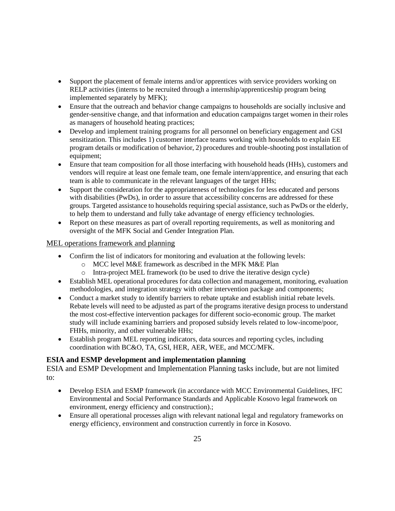- Support the placement of female interns and/or apprentices with service providers working on RELP activities (interns to be recruited through a internship/apprenticeship program being implemented separately by MFK);
- Ensure that the outreach and behavior change campaigns to households are socially inclusive and gender-sensitive change, and that information and education campaigns target women in their roles as managers of household heating practices;
- Develop and implement training programs for all personnel on beneficiary engagement and GSI sensitization. This includes 1) customer interface teams working with households to explain EE program details or modification of behavior, 2) procedures and trouble-shooting post installation of equipment;
- Ensure that team composition for all those interfacing with household heads (HHs), customers and vendors will require at least one female team, one female intern/apprentice, and ensuring that each team is able to communicate in the relevant languages of the target HHs;
- Support the consideration for the appropriateness of technologies for less educated and persons with disabilities (PwDs), in order to assure that accessibility concerns are addressed for these groups. Targeted assistance to households requiring special assistance, such as PwDs or the elderly, to help them to understand and fully take advantage of energy efficiency technologies.
- Report on these measures as part of overall reporting requirements, as well as monitoring and oversight of the MFK Social and Gender Integration Plan.

#### MEL operations framework and planning

- Confirm the list of indicators for monitoring and evaluation at the following levels:
	- o MCC level M&E framework as described in the MFK M&E Plan
	- o Intra-project MEL framework (to be used to drive the iterative design cycle)
- Establish MEL operational procedures for data collection and management, monitoring, evaluation methodologies, and integration strategy with other intervention package and components;
- Conduct a market study to identify barriers to rebate uptake and establish initial rebate levels. Rebate levels will need to be adjusted as part of the programs iterative design process to understand the most cost-effective intervention packages for different socio-economic group. The market study will include examining barriers and proposed subsidy levels related to low-income/poor, FHHs, minority, and other vulnerable HHs;
- Establish program MEL reporting indicators, data sources and reporting cycles, including coordination with BC&O, TA, GSI, HER, AER, WEE, and MCC/MFK.

# **ESIA and ESMP development and implementation planning**

ESIA and ESMP Development and Implementation Planning tasks include, but are not limited to:

- Develop ESIA and ESMP framework (in accordance with MCC Environmental Guidelines, IFC Environmental and Social Performance Standards and Applicable Kosovo legal framework on environment, energy efficiency and construction).;
- Ensure all operational processes align with relevant national legal and regulatory frameworks on energy efficiency, environment and construction currently in force in Kosovo.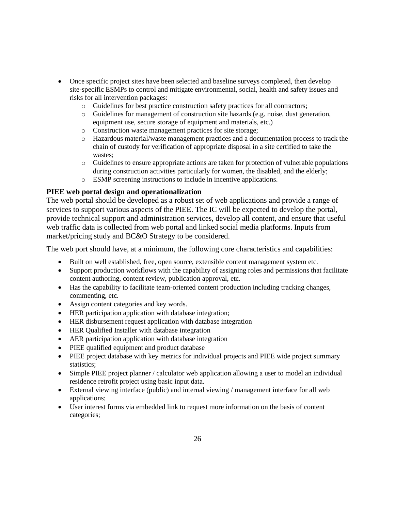- Once specific project sites have been selected and baseline surveys completed, then develop site-specific ESMPs to control and mitigate environmental, social, health and safety issues and risks for all intervention packages:
	- o Guidelines for best practice construction safety practices for all contractors;
	- o Guidelines for management of construction site hazards (e.g. noise, dust generation, equipment use, secure storage of equipment and materials, etc.)
	- o Construction waste management practices for site storage;
	- o Hazardous material/waste management practices and a documentation process to track the chain of custody for verification of appropriate disposal in a site certified to take the wastes;
	- o Guidelines to ensure appropriate actions are taken for protection of vulnerable populations during construction activities particularly for women, the disabled, and the elderly;
	- o ESMP screening instructions to include in incentive applications.

#### **PIEE web portal design and operationalization**

The web portal should be developed as a robust set of web applications and provide a range of services to support various aspects of the PIEE. The IC will be expected to develop the portal, provide technical support and administration services, develop all content, and ensure that useful web traffic data is collected from web portal and linked social media platforms. Inputs from market/pricing study and BC&O Strategy to be considered.

The web port should have, at a minimum, the following core characteristics and capabilities:

- Built on well established, free, open source, extensible content management system etc.
- Support production workflows with the capability of assigning roles and permissions that facilitate content authoring, content review, publication approval, etc.
- Has the capability to facilitate team-oriented content production including tracking changes, commenting, etc.
- Assign content categories and key words.
- HER participation application with database integration;
- HER disbursement request application with database integration
- HER Qualified Installer with database integration
- AER participation application with database integration
- PIEE qualified equipment and product database
- PIEE project database with key metrics for individual projects and PIEE wide project summary statistics;
- Simple PIEE project planner / calculator web application allowing a user to model an individual residence retrofit project using basic input data.
- External viewing interface (public) and internal viewing / management interface for all web applications;
- User interest forms via embedded link to request more information on the basis of content categories;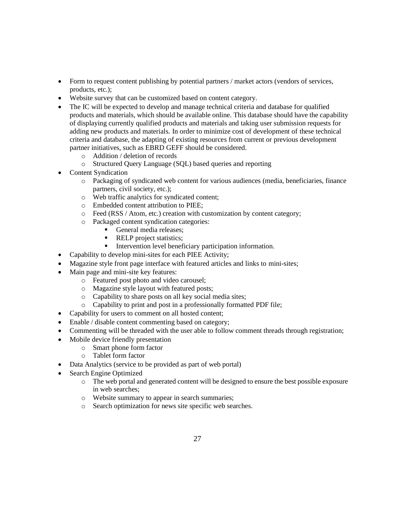- Form to request content publishing by potential partners / market actors (vendors of services, products, etc.);
- Website survey that can be customized based on content category.
- The IC will be expected to develop and manage technical criteria and database for qualified products and materials, which should be available online. This database should have the capability of displaying currently qualified products and materials and taking user submission requests for adding new products and materials. In order to minimize cost of development of these technical criteria and database, the adapting of existing resources from current or previous development partner initiatives, such as EBRD GEFF should be considered.
	- o Addition / deletion of records
	- o Structured Query Language (SQL) based queries and reporting
- Content Syndication
	- o Packaging of syndicated web content for various audiences (media, beneficiaries, finance partners, civil society, etc.);
	- o Web traffic analytics for syndicated content;
	- o Embedded content attribution to PIEE;
	- o Feed (RSS / Atom, etc.) creation with customization by content category;
	- o Packaged content syndication categories:
		- General media releases;
		- **RELP** project statistics;
		- Intervention level beneficiary participation information.
- Capability to develop mini-sites for each PIEE Activity;
- Magazine style front page interface with featured articles and links to mini-sites;
- Main page and mini-site key features:
	- o Featured post photo and video carousel;
	- o Magazine style layout with featured posts;
	- o Capability to share posts on all key social media sites;
	- o Capability to print and post in a professionally formatted PDF file;
- Capability for users to comment on all hosted content;
- Enable / disable content commenting based on category;
- Commenting will be threaded with the user able to follow comment threads through registration;
- Mobile device friendly presentation
	- o Smart phone form factor
	- o Tablet form factor
- Data Analytics (service to be provided as part of web portal)
- Search Engine Optimized
	- o The web portal and generated content will be designed to ensure the best possible exposure in web searches;
	- o Website summary to appear in search summaries;
	- o Search optimization for news site specific web searches.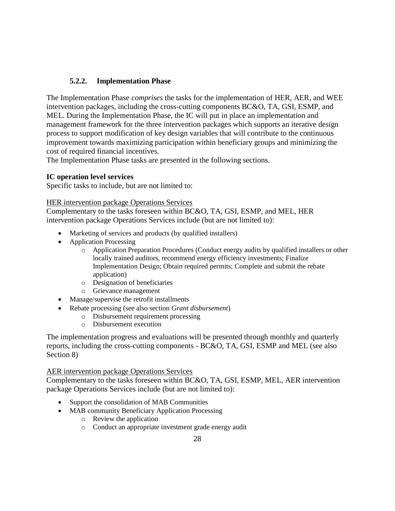# **5.2.2. Implementation Phase**

The Implementation Phase *comprises* the tasks for the implementation of HER, AER, and WEE intervention packages, including the cross-cutting components BC&O, TA, GSI, ESMP, and MEL. During the Implementation Phase, the IC will put in place an implementation and management framework for the three intervention packages which supports an iterative design process to support modification of key design variables that will contribute to the continuous improvement towards maximizing participation within beneficiary groups and minimizing the cost of required financial incentives.

The Implementation Phase tasks are presented in the following sections.

### **IC operation level services**

Specific tasks to include, but are not limited to:

#### HER intervention package Operations Services

Complementary to the tasks foreseen within BC&O, TA, GSI, ESMP, and MEL, HER intervention package Operations Services include (but are not limited to):

- Marketing of services and products (by qualified installers)
- Application Processing
	- o Application Preparation Procedures (Conduct energy audits by qualified installers or other locally trained auditors, recommend energy efficiency investments; Finalize Implementation Design; Obtain required permits; Complete and submit the rebate application)
	- o Designation of beneficiaries
	- o Grievance management
- Manage/supervise the retrofit installments
- Rebate processing (see also section *Grant disbursement*)
	- o Disbursement requirement processing
		- o Disbursement execution

The implementation progress and evaluations will be presented through monthly and quarterly reports, including the cross-cutting components - BC&O, TA, GSI, ESMP and MEL (see also Section 8)

#### AER intervention package Operations Services

Complementary to the tasks foreseen within BC&O, TA, GSI, ESMP, MEL, AER intervention package Operations Services include (but are not limited to):

- Support the consolidation of MAB Communities
- MAB community Beneficiary Application Processing
	- o Review the application
	- o Conduct an appropriate investment grade energy audit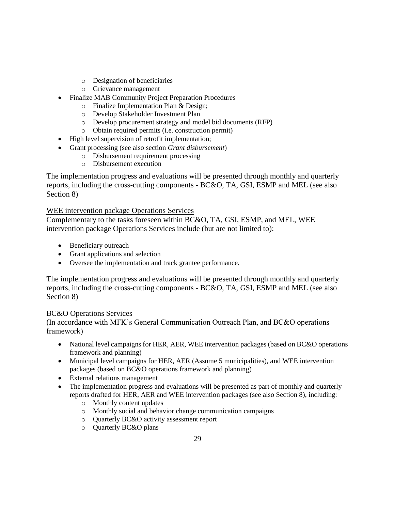- o Designation of beneficiaries
- o Grievance management
- Finalize MAB Community Project Preparation Procedures
	- o Finalize Implementation Plan & Design;
	- o Develop Stakeholder Investment Plan
	- o Develop procurement strategy and model bid documents (RFP)
	- o Obtain required permits (i.e. construction permit)
- High level supervision of retrofit implementation;
- Grant processing (see also section *Grant disbursement*)
	- o Disbursement requirement processing
	- o Disbursement execution

The implementation progress and evaluations will be presented through monthly and quarterly reports, including the cross-cutting components - BC&O, TA, GSI, ESMP and MEL (see also Section 8)

### WEE intervention package Operations Services

Complementary to the tasks foreseen within BC&O, TA, GSI, ESMP, and MEL, WEE intervention package Operations Services include (but are not limited to):

- Beneficiary outreach
- Grant applications and selection
- Oversee the implementation and track grantee performance.

The implementation progress and evaluations will be presented through monthly and quarterly reports, including the cross-cutting components - BC&O, TA, GSI, ESMP and MEL (see also Section 8)

#### BC&O Operations Services

(In accordance with MFK's General Communication Outreach Plan, and BC&O operations framework)

- National level campaigns for HER, AER, WEE intervention packages (based on BC&O operations framework and planning)
- Municipal level campaigns for HER, AER (Assume 5 municipalities), and WEE intervention packages (based on BC&O operations framework and planning)
- External relations management
- The implementation progress and evaluations will be presented as part of monthly and quarterly reports drafted for HER, AER and WEE intervention packages (see also Section 8), including:
	- o Monthly content updates
	- o Monthly social and behavior change communication campaigns
	- o Quarterly BC&O activity assessment report
	- o Quarterly BC&O plans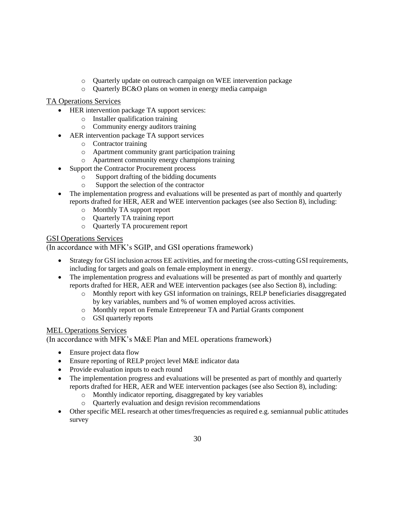- o Quarterly update on outreach campaign on WEE intervention package
- o Quarterly BC&O plans on women in energy media campaign

### TA Operations Services

- HER intervention package TA support services:
	- o Installer qualification training
	- o Community energy auditors training
- AER intervention package TA support services
	- o Contractor training
	- o Apartment community grant participation training
	- o Apartment community energy champions training
- Support the Contractor Procurement process
	- o Support drafting of the bidding documents
		- o Support the selection of the contractor
- The implementation progress and evaluations will be presented as part of monthly and quarterly reports drafted for HER, AER and WEE intervention packages (see also Section 8), including:
	- o Monthly TA support report
	- o Quarterly TA training report
	- o Quarterly TA procurement report

### GSI Operations Services

(In accordance with MFK's SGIP, and GSI operations framework)

- Strategy for GSI inclusion across EE activities, and for meeting the cross-cutting GSI requirements, including for targets and goals on female employment in energy.
- The implementation progress and evaluations will be presented as part of monthly and quarterly reports drafted for HER, AER and WEE intervention packages (see also Section 8), including:
	- o Monthly report with key GSI information on trainings, RELP beneficiaries disaggregated by key variables, numbers and % of women employed across activities.
	- o Monthly report on Female Entrepreneur TA and Partial Grants component
	- o GSI quarterly reports

# MEL Operations Services

(In accordance with MFK's M&E Plan and MEL operations framework)

- Ensure project data flow
- Ensure reporting of RELP project level M&E indicator data
- Provide evaluation inputs to each round
- The implementation progress and evaluations will be presented as part of monthly and quarterly reports drafted for HER, AER and WEE intervention packages (see also Section 8), including:
	- o Monthly indicator reporting, disaggregated by key variables
	- o Quarterly evaluation and design revision recommendations
- Other specific MEL research at other times/frequencies as required e.g. semiannual public attitudes survey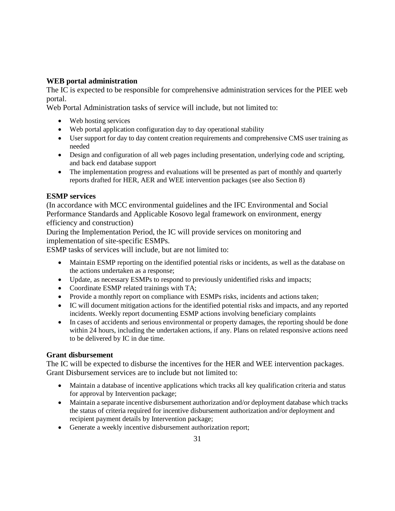### **WEB portal administration**

The IC is expected to be responsible for comprehensive administration services for the PIEE web portal.

Web Portal Administration tasks of service will include, but not limited to:

- Web hosting services
- Web portal application configuration day to day operational stability
- User support for day to day content creation requirements and comprehensive CMS user training as needed
- Design and configuration of all web pages including presentation, underlying code and scripting, and back end database support
- The implementation progress and evaluations will be presented as part of monthly and quarterly reports drafted for HER, AER and WEE intervention packages (see also Section 8)

### **ESMP services**

(In accordance with MCC environmental guidelines and the IFC Environmental and Social Performance Standards and Applicable Kosovo legal framework on environment, energy efficiency and construction)

During the Implementation Period, the IC will provide services on monitoring and implementation of site-specific ESMPs.

ESMP tasks of services will include, but are not limited to:

- Maintain ESMP reporting on the identified potential risks or incidents, as well as the database on the actions undertaken as a response;
- Update, as necessary ESMPs to respond to previously unidentified risks and impacts;
- Coordinate ESMP related trainings with TA;
- Provide a monthly report on compliance with ESMPs risks, incidents and actions taken;
- IC will document mitigation actions for the identified potential risks and impacts, and any reported incidents. Weekly report documenting ESMP actions involving beneficiary complaints
- In cases of accidents and serious environmental or property damages, the reporting should be done within 24 hours, including the undertaken actions, if any. Plans on related responsive actions need to be delivered by IC in due time.

#### **Grant disbursement**

The IC will be expected to disburse the incentives for the HER and WEE intervention packages. Grant Disbursement services are to include but not limited to:

- Maintain a database of incentive applications which tracks all key qualification criteria and status for approval by Intervention package;
- Maintain a separate incentive disbursement authorization and/or deployment database which tracks the status of criteria required for incentive disbursement authorization and/or deployment and recipient payment details by Intervention package;
- Generate a weekly incentive disbursement authorization report;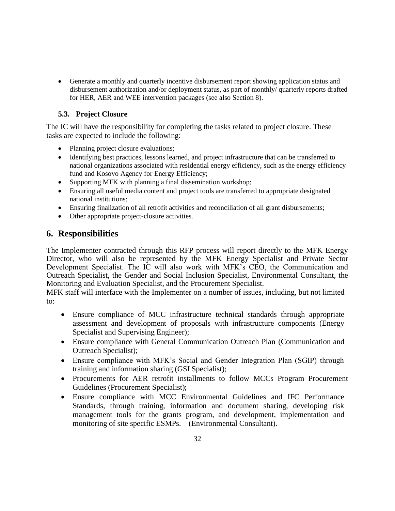Generate a monthly and quarterly incentive disbursement report showing application status and disbursement authorization and/or deployment status, as part of monthly/ quarterly reports drafted for HER, AER and WEE intervention packages (see also Section 8).

## **5.3. Project Closure**

The IC will have the responsibility for completing the tasks related to project closure. These tasks are expected to include the following:

- Planning project closure evaluations;
- Identifying best practices, lessons learned, and project infrastructure that can be transferred to national organizations associated with residential energy efficiency, such as the energy efficiency fund and Kosovo Agency for Energy Efficiency;
- Supporting MFK with planning a final dissemination workshop;
- Ensuring all useful media content and project tools are transferred to appropriate designated national institutions;
- Ensuring finalization of all retrofit activities and reconciliation of all grant disbursements;
- Other appropriate project-closure activities.

# **6. Responsibilities**

The Implementer contracted through this RFP process will report directly to the MFK Energy Director, who will also be represented by the MFK Energy Specialist and Private Sector Development Specialist. The IC will also work with MFK's CEO, the Communication and Outreach Specialist, the Gender and Social Inclusion Specialist, Environmental Consultant, the Monitoring and Evaluation Specialist, and the Procurement Specialist.

MFK staff will interface with the Implementer on a number of issues, including, but not limited to:

- Ensure compliance of MCC infrastructure technical standards through appropriate assessment and development of proposals with infrastructure components (Energy Specialist and Supervising Engineer);
- Ensure compliance with General Communication Outreach Plan (Communication and Outreach Specialist);
- Ensure compliance with MFK's Social and Gender Integration Plan (SGIP) through training and information sharing (GSI Specialist);
- Procurements for AER retrofit installments to follow MCCs Program Procurement Guidelines (Procurement Specialist);
- Ensure compliance with MCC Environmental Guidelines and IFC Performance Standards, through training, information and document sharing, developing risk management tools for the grants program, and development, implementation and monitoring of site specific ESMPs. (Environmental Consultant).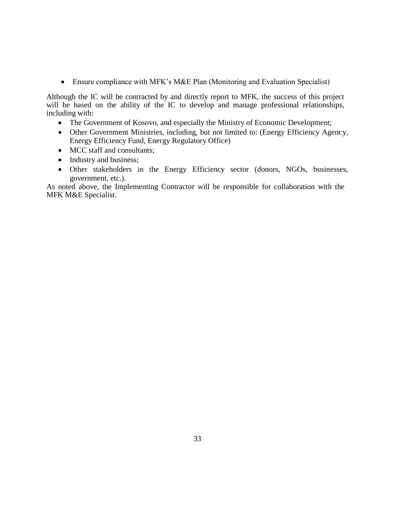Ensure compliance with MFK's M&E Plan (Monitoring and Evaluation Specialist)

Although the IC will be contracted by and directly report to MFK, the success of this project will be based on the ability of the IC to develop and manage professional relationships, including with:

- The Government of Kosovo, and especially the Ministry of Economic Development;
- Other Government Ministries, including, but not limited to: (Energy Efficiency Agency, Energy Efficiency Fund, Energy Regulatory Office)
- MCC staff and consultants;
- Industry and business;
- Other stakeholders in the Energy Efficiency sector (donors, NGOs, businesses, government, etc.).

As noted above, the Implementing Contractor will be responsible for collaboration with the MFK M&E Specialist.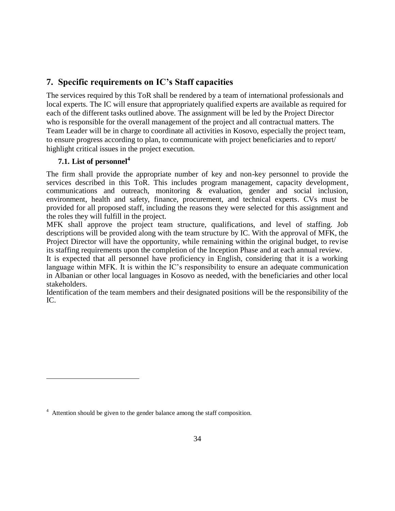# **7. Specific requirements on IC's Staff capacities**

The services required by this ToR shall be rendered by a team of international professionals and local experts. The IC will ensure that appropriately qualified experts are available as required for each of the different tasks outlined above. The assignment will be led by the Project Director who is responsible for the overall management of the project and all contractual matters. The Team Leader will be in charge to coordinate all activities in Kosovo, especially the project team, to ensure progress according to plan, to communicate with project beneficiaries and to report/ highlight critical issues in the project execution.

# **7.1. List of personnel<sup>4</sup>**

 $\overline{a}$ 

The firm shall provide the appropriate number of key and non-key personnel to provide the services described in this ToR. This includes program management, capacity development, communications and outreach, monitoring & evaluation, gender and social inclusion, environment, health and safety, finance, procurement, and technical experts. CVs must be provided for all proposed staff, including the reasons they were selected for this assignment and the roles they will fulfill in the project.

MFK shall approve the project team structure, qualifications, and level of staffing. Job descriptions will be provided along with the team structure by IC. With the approval of MFK, the Project Director will have the opportunity, while remaining within the original budget, to revise its staffing requirements upon the completion of the Inception Phase and at each annual review.

It is expected that all personnel have proficiency in English, considering that it is a working language within MFK. It is within the IC's responsibility to ensure an adequate communication in Albanian or other local languages in Kosovo as needed, with the beneficiaries and other local stakeholders.

Identification of the team members and their designated positions will be the responsibility of the IC.

<sup>&</sup>lt;sup>4</sup> Attention should be given to the gender balance among the staff composition.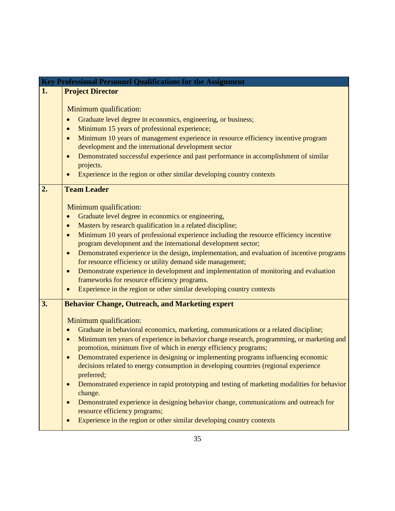|    | <b>Key Professional Personnel Qualifications for the Assignment</b>                                                                                                                                                                                                                                                                                                                                                                                                                                                                                                                                                                                                                                                                                                                                                  |
|----|----------------------------------------------------------------------------------------------------------------------------------------------------------------------------------------------------------------------------------------------------------------------------------------------------------------------------------------------------------------------------------------------------------------------------------------------------------------------------------------------------------------------------------------------------------------------------------------------------------------------------------------------------------------------------------------------------------------------------------------------------------------------------------------------------------------------|
| 1. | <b>Project Director</b>                                                                                                                                                                                                                                                                                                                                                                                                                                                                                                                                                                                                                                                                                                                                                                                              |
|    | Minimum qualification:<br>Graduate level degree in economics, engineering, or business;<br>$\bullet$<br>Minimum 15 years of professional experience;<br>$\bullet$<br>Minimum 10 years of management experience in resource efficiency incentive program<br>development and the international development sector<br>Demonstrated successful experience and past performance in accomplishment of similar<br>projects.<br>Experience in the region or other similar developing country contexts                                                                                                                                                                                                                                                                                                                        |
| 2. | <b>Team Leader</b>                                                                                                                                                                                                                                                                                                                                                                                                                                                                                                                                                                                                                                                                                                                                                                                                   |
|    | Minimum qualification:<br>Graduate level degree in economics or engineering,<br>$\bullet$<br>Masters by research qualification in a related discipline;<br>$\bullet$<br>Minimum 10 years of professional experience including the resource efficiency incentive<br>program development and the international development sector;<br>Demonstrated experience in the design, implementation, and evaluation of incentive programs<br>for resource efficiency or utility demand side management;<br>Demonstrate experience in development and implementation of monitoring and evaluation<br>$\bullet$<br>frameworks for resource efficiency programs.<br>Experience in the region or other similar developing country contexts<br>$\bullet$                                                                            |
| 3. | <b>Behavior Change, Outreach, and Marketing expert</b>                                                                                                                                                                                                                                                                                                                                                                                                                                                                                                                                                                                                                                                                                                                                                               |
|    | Minimum qualification:<br>Graduate in behavioral economics, marketing, communications or a related discipline;<br>$\bullet$<br>Minimum ten years of experience in behavior change research, programming, or marketing and<br>$\bullet$<br>promotion, minimum five of which in energy efficiency programs;<br>Demonstrated experience in designing or implementing programs influencing economic<br>decisions related to energy consumption in developing countries (regional experience<br>preferred;<br>Demonstrated experience in rapid prototyping and testing of marketing modalities for behavior<br>change.<br>Demonstrated experience in designing behavior change, communications and outreach for<br>resource efficiency programs;<br>Experience in the region or other similar developing country contexts |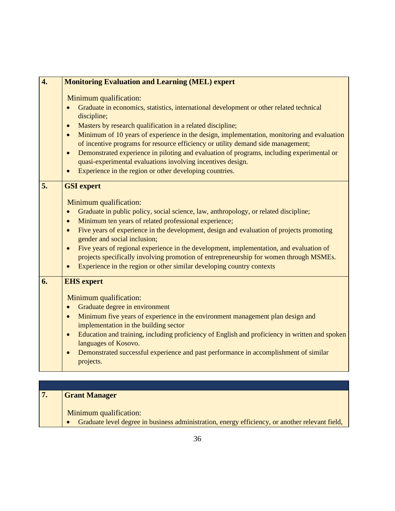| Minimum qualification:<br>Graduate in economics, statistics, international development or other related technical<br>discipline;<br>Masters by research qualification in a related discipline;<br>$\bullet$<br>$\bullet$<br>of incentive programs for resource efficiency or utility demand side management;<br>Demonstrated experience in piloting and evaluation of programs, including experimental or<br>$\bullet$<br>quasi-experimental evaluations involving incentives design.<br>Experience in the region or other developing countries.<br>$\bullet$<br>5.<br><b>GSI</b> expert<br>Minimum qualification:<br>Graduate in public policy, social science, law, anthropology, or related discipline;<br>$\bullet$<br>Minimum ten years of related professional experience;<br>$\bullet$<br>Five years of experience in the development, design and evaluation of projects promoting<br>$\bullet$<br>gender and social inclusion;<br>Five years of regional experience in the development, implementation, and evaluation of<br>$\bullet$<br>projects specifically involving promotion of entrepreneurship for women through MSMEs.<br>Experience in the region or other similar developing country contexts<br><b>EHS</b> expert<br>6.<br>Minimum qualification:<br>Graduate degree in environment<br>$\bullet$<br>Minimum five years of experience in the environment management plan design and<br>$\bullet$<br>implementation in the building sector<br>$\bullet$<br>languages of Kosovo.<br>Demonstrated successful experience and past performance in accomplishment of similar<br>$\bullet$ | $\overline{4}$ . | <b>Monitoring Evaluation and Learning (MEL) expert</b>                                                      |
|---------------------------------------------------------------------------------------------------------------------------------------------------------------------------------------------------------------------------------------------------------------------------------------------------------------------------------------------------------------------------------------------------------------------------------------------------------------------------------------------------------------------------------------------------------------------------------------------------------------------------------------------------------------------------------------------------------------------------------------------------------------------------------------------------------------------------------------------------------------------------------------------------------------------------------------------------------------------------------------------------------------------------------------------------------------------------------------------------------------------------------------------------------------------------------------------------------------------------------------------------------------------------------------------------------------------------------------------------------------------------------------------------------------------------------------------------------------------------------------------------------------------------------------------------------------------------------------------------------|------------------|-------------------------------------------------------------------------------------------------------------|
|                                                                                                                                                                                                                                                                                                                                                                                                                                                                                                                                                                                                                                                                                                                                                                                                                                                                                                                                                                                                                                                                                                                                                                                                                                                                                                                                                                                                                                                                                                                                                                                                         |                  | Minimum of 10 years of experience in the design, implementation, monitoring and evaluation                  |
|                                                                                                                                                                                                                                                                                                                                                                                                                                                                                                                                                                                                                                                                                                                                                                                                                                                                                                                                                                                                                                                                                                                                                                                                                                                                                                                                                                                                                                                                                                                                                                                                         |                  |                                                                                                             |
|                                                                                                                                                                                                                                                                                                                                                                                                                                                                                                                                                                                                                                                                                                                                                                                                                                                                                                                                                                                                                                                                                                                                                                                                                                                                                                                                                                                                                                                                                                                                                                                                         |                  | Education and training, including proficiency of English and proficiency in written and spoken<br>projects. |

| <b>Grant Manager</b>                                                                                                      |
|---------------------------------------------------------------------------------------------------------------------------|
| Minimum qualification:<br>Graduate level degree in business administration, energy efficiency, or another relevant field, |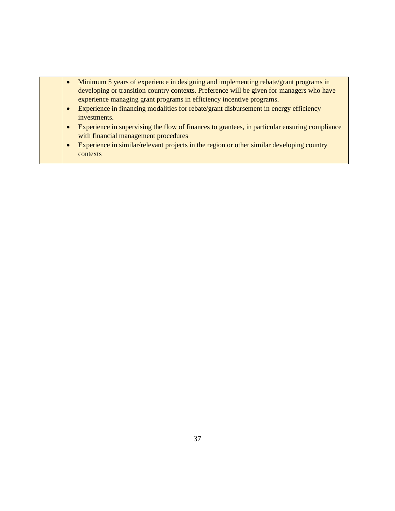- Minimum 5 years of experience in designing and implementing rebate/grant programs in developing or transition country contexts. Preference will be given for managers who have experience managing grant programs in efficiency incentive programs.
- Experience in financing modalities for rebate/grant disbursement in energy efficiency investments.
- Experience in supervising the flow of finances to grantees, in particular ensuring compliance with financial management procedures
- Experience in similar/relevant projects in the region or other similar developing country contexts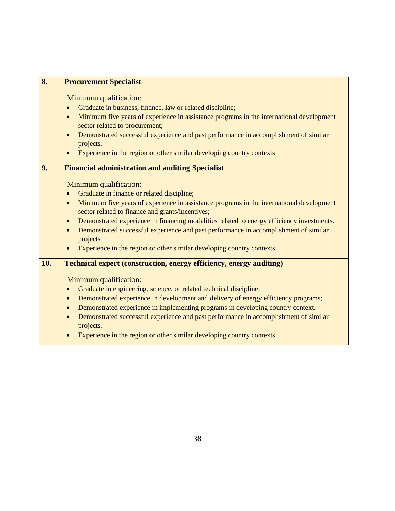| 8.  | <b>Procurement Specialist</b>                                                                                                                                                                                                                                                                                                                                                                                                                                                                                                                                                                      |
|-----|----------------------------------------------------------------------------------------------------------------------------------------------------------------------------------------------------------------------------------------------------------------------------------------------------------------------------------------------------------------------------------------------------------------------------------------------------------------------------------------------------------------------------------------------------------------------------------------------------|
|     | Minimum qualification:<br>Graduate in business, finance, law or related discipline;<br>$\bullet$<br>Minimum five years of experience in assistance programs in the international development<br>$\bullet$<br>sector related to procurement;<br>Demonstrated successful experience and past performance in accomplishment of similar<br>$\bullet$<br>projects.<br>Experience in the region or other similar developing country contexts<br>$\bullet$                                                                                                                                                |
| 9.  | <b>Financial administration and auditing Specialist</b>                                                                                                                                                                                                                                                                                                                                                                                                                                                                                                                                            |
|     | Minimum qualification:<br>Graduate in finance or related discipline;<br>$\bullet$<br>Minimum five years of experience in assistance programs in the international development<br>$\bullet$<br>sector related to finance and grants/incentives;<br>Demonstrated experience in financing modalities related to energy efficiency investments.<br>$\bullet$<br>Demonstrated successful experience and past performance in accomplishment of similar<br>$\bullet$<br>projects.<br>Experience in the region or other similar developing country contexts<br>$\bullet$                                   |
| 10. | <b>Technical expert (construction, energy efficiency, energy auditing)</b><br>Minimum qualification:<br>Graduate in engineering, science, or related technical discipline;<br>$\bullet$<br>Demonstrated experience in development and delivery of energy efficiency programs;<br>$\bullet$<br>Demonstrated experience in implementing programs in developing country context.<br>$\bullet$<br>Demonstrated successful experience and past performance in accomplishment of similar<br>$\bullet$<br>projects.<br>Experience in the region or other similar developing country contexts<br>$\bullet$ |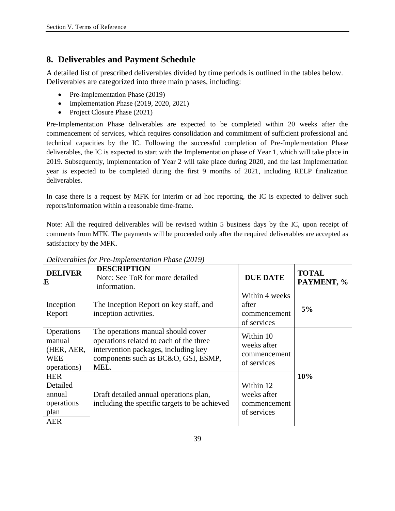# **8. Deliverables and Payment Schedule**

A detailed list of prescribed deliverables divided by time periods is outlined in the tables below. Deliverables are categorized into three main phases, including:

- Pre-implementation Phase (2019)
- Implementation Phase (2019, 2020, 2021)
- Project Closure Phase (2021)

Pre-Implementation Phase deliverables are expected to be completed within 20 weeks after the commencement of services, which requires consolidation and commitment of sufficient professional and technical capacities by the IC. Following the successful completion of Pre-Implementation Phase deliverables, the IC is expected to start with the Implementation phase of Year 1, which will take place in 2019. Subsequently, implementation of Year 2 will take place during 2020, and the last Implementation year is expected to be completed during the first 9 months of 2021, including RELP finalization deliverables.

In case there is a request by MFK for interim or ad hoc reporting, the IC is expected to deliver such reports/information within a reasonable time-frame.

Note: All the required deliverables will be revised within 5 business days by the IC, upon receipt of comments from MFK. The payments will be proceeded only after the required deliverables are accepted as satisfactory by the MFK.

| <b>DELIVER</b><br>E                                                  | <b>DESCRIPTION</b><br>Note: See ToR for more detailed<br>information.                                                                                                | <b>DUE DATE</b>                                         | <b>TOTAL</b><br>PAYMENT, % |
|----------------------------------------------------------------------|----------------------------------------------------------------------------------------------------------------------------------------------------------------------|---------------------------------------------------------|----------------------------|
| Inception<br>Report                                                  | The Inception Report on key staff, and<br>inception activities.                                                                                                      | Within 4 weeks<br>after<br>commencement<br>of services  | 5%                         |
| Operations<br>manual<br>(HER, AER,<br><b>WEE</b><br>operations)      | The operations manual should cover<br>operations related to each of the three<br>intervention packages, including key<br>components such as BC&O, GSI, ESMP,<br>MEL. | Within 10<br>weeks after<br>commencement<br>of services |                            |
| <b>HER</b><br>Detailed<br>annual<br>operations<br>plan<br><b>AER</b> | Draft detailed annual operations plan,<br>including the specific targets to be achieved                                                                              | Within 12<br>weeks after<br>commencement<br>of services | 10%                        |

*Deliverables for Pre-Implementation Phase (2019)*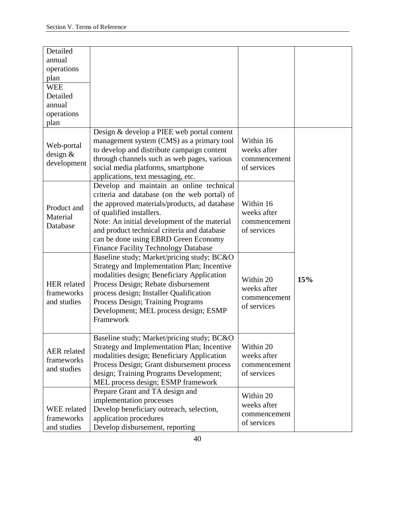| Detailed<br>annual<br>operations<br>plan<br><b>WEE</b><br>Detailed<br>annual<br>operations<br>plan |                                                                                                                                                                                                                                                                                                                                                            |                                                         |     |
|----------------------------------------------------------------------------------------------------|------------------------------------------------------------------------------------------------------------------------------------------------------------------------------------------------------------------------------------------------------------------------------------------------------------------------------------------------------------|---------------------------------------------------------|-----|
| Web-portal<br>design &<br>development                                                              | Design & develop a PIEE web portal content<br>management system (CMS) as a primary tool<br>to develop and distribute campaign content<br>through channels such as web pages, various<br>social media platforms, smartphone<br>applications, text messaging, etc.                                                                                           | Within 16<br>weeks after<br>commencement<br>of services |     |
| Product and<br>Material<br>Database                                                                | Develop and maintain an online technical<br>criteria and database (on the web portal) of<br>the approved materials/products, ad database<br>of qualified installers.<br>Note: An initial development of the material<br>and product technical criteria and database<br>can be done using EBRD Green Economy<br><b>Finance Facility Technology Database</b> | Within 16<br>weeks after<br>commencement<br>of services |     |
| <b>HER</b> related<br>frameworks<br>and studies                                                    | Baseline study; Market/pricing study; BC&O<br>Strategy and Implementation Plan; Incentive<br>modalities design; Beneficiary Application<br>Process Design; Rebate disbursement<br>process design; Installer Qualification<br>Process Design; Training Programs<br>Development; MEL process design; ESMP<br>Framework                                       | Within 20<br>weeks after<br>commencement<br>of services | 15% |
| <b>AER</b> related<br>frameworks<br>and studies                                                    | Baseline study; Market/pricing study; BC&O<br><b>Strategy and Implementation Plan; Incentive</b><br>modalities design; Beneficiary Application<br>Process Design; Grant disbursement process<br>design; Training Programs Development;<br>MEL process design; ESMP framework                                                                               | Within 20<br>weeks after<br>commencement<br>of services |     |
| WEE related<br>frameworks<br>and studies                                                           | Prepare Grant and TA design and<br>implementation processes<br>Develop beneficiary outreach, selection,<br>application procedures<br>Develop disbursement, reporting                                                                                                                                                                                       | Within 20<br>weeks after<br>commencement<br>of services |     |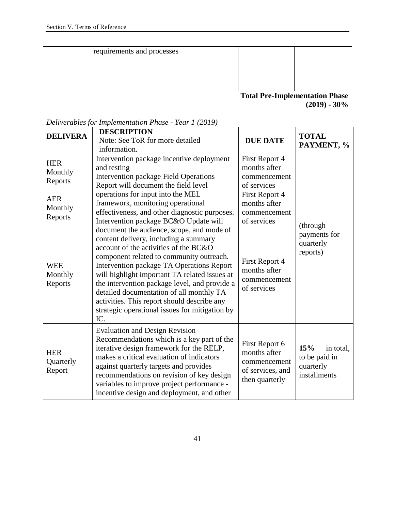| requirements and processes |                                                                                 |  |
|----------------------------|---------------------------------------------------------------------------------|--|
|                            |                                                                                 |  |
|                            |                                                                                 |  |
|                            |                                                                                 |  |
|                            | $\mathbf{m}$ , $\mathbf{m}$ $\mathbf{r}$ $\mathbf{u}$ $\mathbf{u}$ $\mathbf{m}$ |  |

**Total Pre-Implementation Phase (2019) - 30%**

| <b>DELIVERA</b>                                                      | <b>DESCRIPTION</b><br>Note: See ToR for more detailed<br>information.                                                                                                                                                                                                                                                                                                                                                                                                                                               | <b>DUE DATE</b>                                                                                                 | <b>TOTAL</b><br>PAYMENT, %                                     |
|----------------------------------------------------------------------|---------------------------------------------------------------------------------------------------------------------------------------------------------------------------------------------------------------------------------------------------------------------------------------------------------------------------------------------------------------------------------------------------------------------------------------------------------------------------------------------------------------------|-----------------------------------------------------------------------------------------------------------------|----------------------------------------------------------------|
| <b>HER</b><br>Monthly<br>Reports<br><b>AER</b><br>Monthly<br>Reports | Intervention package incentive deployment<br>and testing<br>Intervention package Field Operations<br>Report will document the field level<br>operations for input into the MEL<br>framework, monitoring operational<br>effectiveness, and other diagnostic purposes.                                                                                                                                                                                                                                                | First Report 4<br>months after<br>commencement<br>of services<br>First Report 4<br>months after<br>commencement |                                                                |
| <b>WEE</b><br>Monthly<br>Reports                                     | Intervention package BC&O Update will<br>document the audience, scope, and mode of<br>content delivery, including a summary<br>account of the activities of the BC&O<br>component related to community outreach.<br>Intervention package TA Operations Report<br>will highlight important TA related issues at<br>the intervention package level, and provide a<br>detailed documentation of all monthly TA<br>activities. This report should describe any<br>strategic operational issues for mitigation by<br>IC. | of services<br>First Report 4<br>months after<br>commencement<br>of services                                    | (through<br>payments for<br>quarterly<br>reports)              |
| <b>HER</b><br>Quarterly<br>Report                                    | <b>Evaluation and Design Revision</b><br>Recommendations which is a key part of the<br>iterative design framework for the RELP,<br>makes a critical evaluation of indicators<br>against quarterly targets and provides<br>recommendations on revision of key design<br>variables to improve project performance -<br>incentive design and deployment, and other                                                                                                                                                     | First Report 6<br>months after<br>commencement<br>of services, and<br>then quarterly                            | 15%<br>in total,<br>to be paid in<br>quarterly<br>installments |

*Deliverables for Implementation Phase - Year 1 (2019)*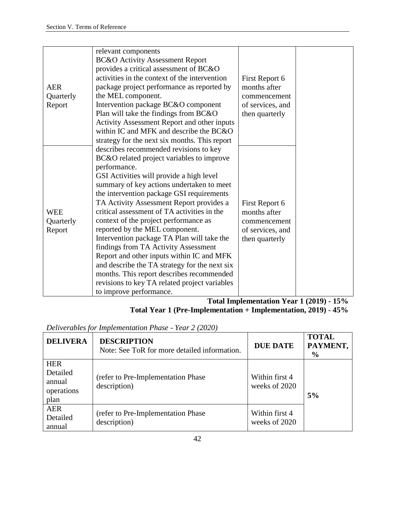|            | relevant components                           |                  |  |
|------------|-----------------------------------------------|------------------|--|
|            | <b>BC&amp;O</b> Activity Assessment Report    |                  |  |
|            | provides a critical assessment of BC&O        |                  |  |
|            | activities in the context of the intervention | First Report 6   |  |
| <b>AER</b> | package project performance as reported by    | months after     |  |
| Quarterly  | the MEL component.                            | commencement     |  |
| Report     | Intervention package BC&O component           | of services, and |  |
|            | Plan will take the findings from BC&O         | then quarterly   |  |
|            | Activity Assessment Report and other inputs   |                  |  |
|            | within IC and MFK and describe the BC&O       |                  |  |
|            | strategy for the next six months. This report |                  |  |
|            | describes recommended revisions to key        |                  |  |
|            | BC&O related project variables to improve     |                  |  |
|            | performance.                                  |                  |  |
|            | GSI Activities will provide a high level      |                  |  |
|            | summary of key actions undertaken to meet     |                  |  |
|            | the intervention package GSI requirements     |                  |  |
|            | TA Activity Assessment Report provides a      | First Report 6   |  |
| <b>WEE</b> | critical assessment of TA activities in the   | months after     |  |
| Quarterly  | context of the project performance as         | commencement     |  |
| Report     | reported by the MEL component.                | of services, and |  |
|            | Intervention package TA Plan will take the    | then quarterly   |  |
|            | findings from TA Activity Assessment          |                  |  |
|            | Report and other inputs within IC and MFK     |                  |  |
|            | and describe the TA strategy for the next six |                  |  |
|            | months. This report describes recommended     |                  |  |
|            | revisions to key TA related project variables |                  |  |
|            | to improve performance.                       |                  |  |

**Total Implementation Year 1 (2019) - 15% Total Year 1 (Pre-Implementation + Implementation, 2019) - 45%**

*Deliverables for Implementation Phase - Year 2 (2020)* 

| <b>DELIVERA</b>                                        | <b>DESCRIPTION</b><br>Note: See ToR for more detailed information. | <b>DUE DATE</b>                 | <b>TOTAL</b><br>PAYMENT,<br>$\frac{6}{9}$ |
|--------------------------------------------------------|--------------------------------------------------------------------|---------------------------------|-------------------------------------------|
| <b>HER</b><br>Detailed<br>annual<br>operations<br>plan | (refer to Pre-Implementation Phase)<br>description)                | Within first 4<br>weeks of 2020 | 5%                                        |
| <b>AER</b><br>Detailed<br>annual                       | (refer to Pre-Implementation Phase)<br>description)                | Within first 4<br>weeks of 2020 |                                           |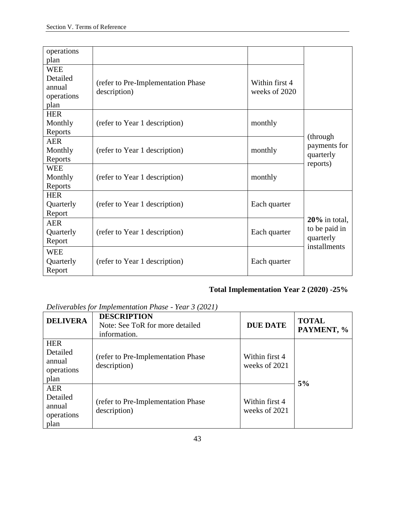| operations |                                     |                |                  |
|------------|-------------------------------------|----------------|------------------|
| plan       |                                     |                |                  |
| <b>WEE</b> |                                     |                |                  |
| Detailed   | (refer to Pre-Implementation Phase) | Within first 4 |                  |
| annual     | description)                        | weeks of 2020  |                  |
| operations |                                     |                |                  |
| plan       |                                     |                |                  |
| <b>HER</b> |                                     |                |                  |
| Monthly    | (refer to Year 1 description)       | monthly        |                  |
| Reports    |                                     |                | (through)        |
| <b>AER</b> |                                     |                | payments for     |
| Monthly    | (refer to Year 1 description)       | monthly        | quarterly        |
| Reports    |                                     |                | reports)         |
| <b>WEE</b> |                                     |                |                  |
| Monthly    | (refer to Year 1 description)       | monthly        |                  |
| Reports    |                                     |                |                  |
| <b>HER</b> |                                     |                |                  |
| Quarterly  | (refer to Year 1 description)       | Each quarter   |                  |
| Report     |                                     |                |                  |
| <b>AER</b> |                                     |                | $20\%$ in total, |
| Quarterly  | (refer to Year 1 description)       | Each quarter   | to be paid in    |
| Report     |                                     |                | quarterly        |
| <b>WEE</b> |                                     |                | installments     |
| Quarterly  | (refer to Year 1 description)       | Each quarter   |                  |
| Report     |                                     |                |                  |

# **Total Implementation Year 2 (2020) -25%**

*Deliverables for Implementation Phase - Year 3 (2021)* 

| <b>DELIVERA</b>                                        | <b>DESCRIPTION</b><br>Note: See ToR for more detailed<br>information. | <b>DUE DATE</b>                 | <b>TOTAL</b><br>PAYMENT, % |
|--------------------------------------------------------|-----------------------------------------------------------------------|---------------------------------|----------------------------|
| <b>HER</b><br>Detailed<br>annual<br>operations<br>plan | (refer to Pre-Implementation Phase)<br>description)                   | Within first 4<br>weeks of 2021 | 5%                         |
| <b>AER</b><br>Detailed<br>annual<br>operations<br>plan | (refer to Pre-Implementation Phase<br>description)                    | Within first 4<br>weeks of 2021 |                            |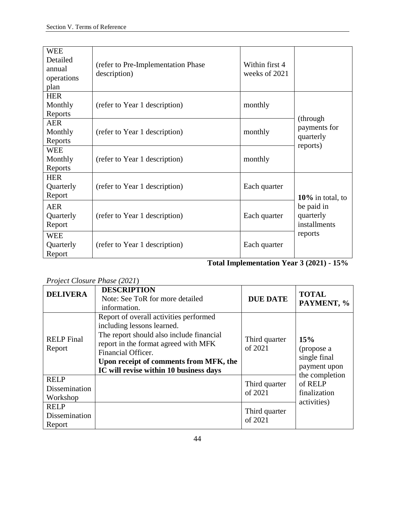| <b>WEE</b><br>Detailed<br>annual<br>operations<br>plan | (refer to Pre-Implementation Phase)<br>description) | Within first 4<br>weeks of 2021 |                                                                           |
|--------------------------------------------------------|-----------------------------------------------------|---------------------------------|---------------------------------------------------------------------------|
| <b>HER</b><br>Monthly<br>Reports                       | (refer to Year 1 description)                       | monthly                         | (through)<br>payments for<br>quarterly<br>reports)                        |
| <b>AER</b><br>Monthly<br>Reports                       | (refer to Year 1 description)                       | monthly                         |                                                                           |
| <b>WEE</b><br>Monthly<br>Reports                       | (refer to Year 1 description)                       | monthly                         |                                                                           |
| <b>HER</b><br>Quarterly<br>Report                      | (refer to Year 1 description)                       | Each quarter                    | $10\%$ in total, to<br>be paid in<br>quarterly<br>installments<br>reports |
| <b>AER</b><br>Quarterly<br>Report                      | (refer to Year 1 description)                       | Each quarter                    |                                                                           |
| <b>WEE</b><br>Quarterly<br>Report                      | (refer to Year 1 description)                       | Each quarter                    |                                                                           |

**Total Implementation Year 3 (2021) - 15%**

# *Project Closure Phase (2021*)

| <b>DELIVERA</b>                          | <b>DESCRIPTION</b><br>Note: See ToR for more detailed<br>information.                                                                                                                                                                                              | <b>DUE DATE</b>          | <b>TOTAL</b><br>PAYMENT, %                                                                                    |
|------------------------------------------|--------------------------------------------------------------------------------------------------------------------------------------------------------------------------------------------------------------------------------------------------------------------|--------------------------|---------------------------------------------------------------------------------------------------------------|
| <b>RELP</b> Final<br>Report              | Report of overall activities performed<br>including lessons learned.<br>The report should also include financial<br>report in the format agreed with MFK<br>Financial Officer.<br>Upon receipt of comments from MFK, the<br>IC will revise within 10 business days | Third quarter<br>of 2021 | 15%<br>(propose a<br>single final<br>payment upon<br>the completion<br>of RELP<br>finalization<br>activities) |
| <b>RELP</b><br>Dissemination<br>Workshop |                                                                                                                                                                                                                                                                    | Third quarter<br>of 2021 |                                                                                                               |
| <b>RELP</b><br>Dissemination<br>Report   |                                                                                                                                                                                                                                                                    | Third quarter<br>of 2021 |                                                                                                               |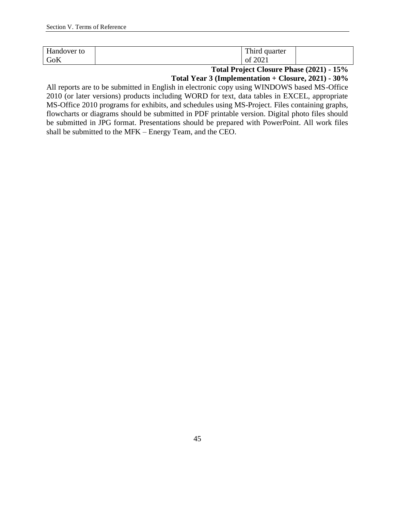| $\mathbf{r}$<br>Handover<br>to | T1<br>quarter<br>3.4.42<br>rmra<br>$\overline{\phantom{a}}$ |  |
|--------------------------------|-------------------------------------------------------------|--|
| GoK                            | . വഗ്ര<br>UΙ                                                |  |

**Total Project Closure Phase (2021) - 15%**

**Total Year 3 (Implementation + Closure, 2021) - 30%**

All reports are to be submitted in English in electronic copy using WINDOWS based MS-Office 2010 (or later versions) products including WORD for text, data tables in EXCEL, appropriate MS-Office 2010 programs for exhibits, and schedules using MS-Project. Files containing graphs, flowcharts or diagrams should be submitted in PDF printable version. Digital photo files should be submitted in JPG format. Presentations should be prepared with PowerPoint. All work files shall be submitted to the MFK – Energy Team, and the CEO.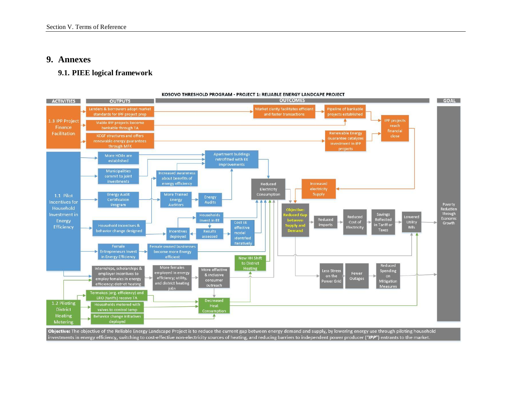# **9. Annexes**

#### **9.1. PIEE logical framework**

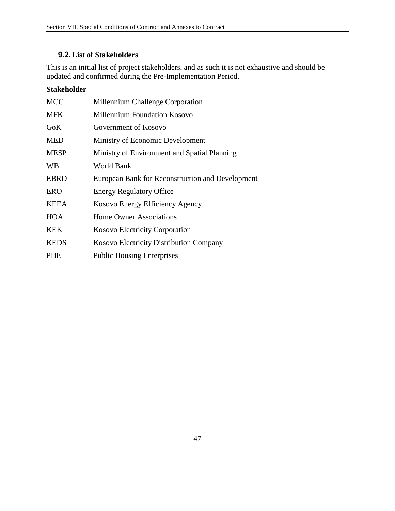# **9.2.List of Stakeholders**

This is an initial list of project stakeholders, and as such it is not exhaustive and should be updated and confirmed during the Pre-Implementation Period.

# **Stakeholder**

| Millennium Challenge Corporation                 |
|--------------------------------------------------|
| Millennium Foundation Kosovo                     |
| Government of Kosovo                             |
| Ministry of Economic Development                 |
| Ministry of Environment and Spatial Planning     |
| World Bank                                       |
| European Bank for Reconstruction and Development |
| <b>Energy Regulatory Office</b>                  |
| Kosovo Energy Efficiency Agency                  |
| <b>Home Owner Associations</b>                   |
| Kosovo Electricity Corporation                   |
| Kosovo Electricity Distribution Company          |
| <b>Public Housing Enterprises</b>                |
|                                                  |